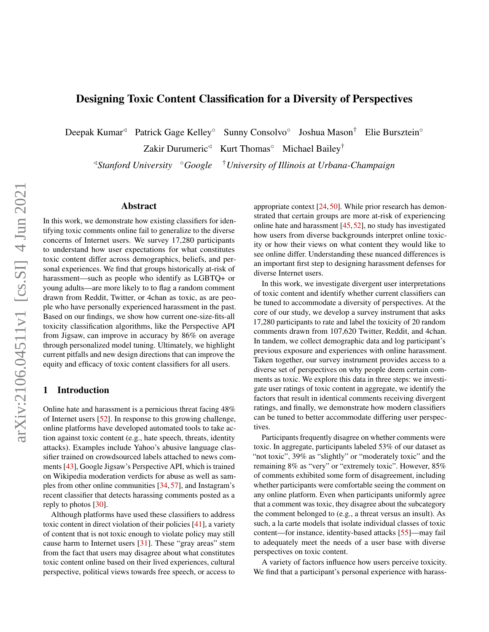# Designing Toxic Content Classification for a Diversity of Perspectives

Deepak Kumar<sup> $\triangleleft$ </sup> Patrick Gage Kelley $\circ$ Sunny Consolvo<sup>○</sup> Joshua Mason<sup>†</sup> Elie Bursztein<sup>○</sup>

Zakir Durumeric<sup>⊲</sup> Kurt Thomas<sup>°</sup> Michael Bailey<sup>†</sup>

/*Stanford University* ◦*Google* †*University of Illinois at Urbana-Champaign*

#### Abstract

In this work, we demonstrate how existing classifiers for identifying toxic comments online fail to generalize to the diverse concerns of Internet users. We survey 17,280 participants to understand how user expectations for what constitutes toxic content differ across demographics, beliefs, and personal experiences. We find that groups historically at-risk of harassment—such as people who identify as LGBTQ+ or young adults—are more likely to to flag a random comment drawn from Reddit, Twitter, or 4chan as toxic, as are people who have personally experienced harassment in the past. Based on our findings, we show how current one-size-fits-all toxicity classification algorithms, like the Perspective API from Jigsaw, can improve in accuracy by 86% on average through personalized model tuning. Ultimately, we highlight current pitfalls and new design directions that can improve the equity and efficacy of toxic content classifiers for all users.

# 1 Introduction

Online hate and harassment is a pernicious threat facing 48% of Internet users [\[52\]](#page-13-0). In response to this growing challenge, online platforms have developed automated tools to take action against toxic content (e.g., hate speech, threats, identity attacks). Examples include Yahoo's abusive language classifier trained on crowdsourced labels attached to news comments [\[43\]](#page-13-1), Google Jigsaw's Perspective API, which is trained on Wikipedia moderation verdicts for abuse as well as samples from other online communities [\[34,](#page-12-0) [57\]](#page-13-2), and Instagram's recent classifier that detects harassing comments posted as a reply to photos [\[30\]](#page-12-1).

Although platforms have used these classifiers to address toxic content in direct violation of their policies [\[41\]](#page-13-3), a variety of content that is not toxic enough to violate policy may still cause harm to Internet users [\[31\]](#page-12-2). These "gray areas" stem from the fact that users may disagree about what constitutes toxic content online based on their lived experiences, cultural perspective, political views towards free speech, or access to

appropriate context  $[24, 50]$  $[24, 50]$  $[24, 50]$ . While prior research has demonstrated that certain groups are more at-risk of experiencing online hate and harassment [\[45,](#page-13-5)[52\]](#page-13-0), no study has investigated how users from diverse backgrounds interpret online toxicity or how their views on what content they would like to see online differ. Understanding these nuanced differences is an important first step to designing harassment defenses for diverse Internet users.

In this work, we investigate divergent user interpretations of toxic content and identify whether current classifiers can be tuned to accommodate a diversity of perspectives. At the core of our study, we develop a survey instrument that asks 17,280 participants to rate and label the toxicity of 20 random comments drawn from 107,620 Twitter, Reddit, and 4chan. In tandem, we collect demographic data and log participant's previous exposure and experiences with online harassment. Taken together, our survey instrument provides access to a diverse set of perspectives on why people deem certain comments as toxic. We explore this data in three steps: we investigate user ratings of toxic content in aggregate, we identify the factors that result in identical comments receiving divergent ratings, and finally, we demonstrate how modern classifiers can be tuned to better accommodate differing user perspectives.

Participants frequently disagree on whether comments were toxic. In aggregate, participants labeled 53% of our dataset as "not toxic", 39% as "slightly" or "moderately toxic" and the remaining 8% as "very" or "extremely toxic". However, 85% of comments exhibited some form of disagreement, including whether participants were comfortable seeing the comment on any online platform. Even when participants uniformly agree that a comment was toxic, they disagree about the subcategory the comment belonged to (e.g., a threat versus an insult). As such, a la carte models that isolate individual classes of toxic content—for instance, identity-based attacks [\[55\]](#page-13-6)—may fail to adequately meet the needs of a user base with diverse perspectives on toxic content.

A variety of factors influence how users perceive toxicity. We find that a participant's personal experience with harass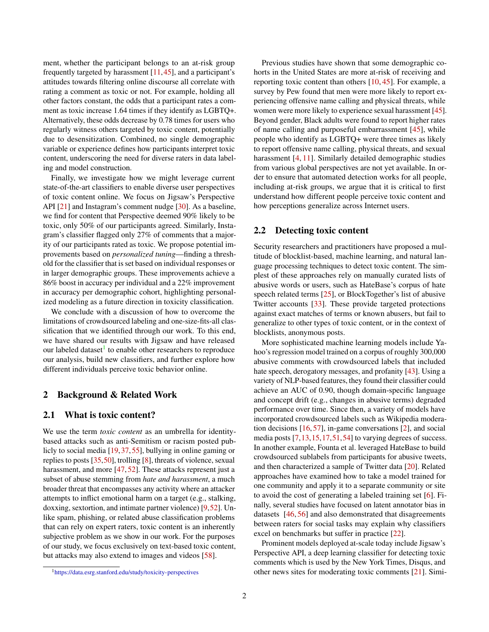ment, whether the participant belongs to an at-risk group frequently targeted by harassment [\[11,](#page-12-4)[45\]](#page-13-5), and a participant's attitudes towards filtering online discourse all correlate with rating a comment as toxic or not. For example, holding all other factors constant, the odds that a participant rates a comment as toxic increase 1.64 times if they identify as LGBTQ+. Alternatively, these odds decrease by 0.78 times for users who regularly witness others targeted by toxic content, potentially due to desensitization. Combined, no single demographic variable or experience defines how participants interpret toxic content, underscoring the need for diverse raters in data labeling and model construction.

Finally, we investigate how we might leverage current state-of-the-art classifiers to enable diverse user perspectives of toxic content online. We focus on Jigsaw's Perspective API [\[21\]](#page-12-5) and Instagram's comment nudge [\[30\]](#page-12-1). As a baseline, we find for content that Perspective deemed 90% likely to be toxic, only 50% of our participants agreed. Similarly, Instagram's classifier flagged only 27% of comments that a majority of our participants rated as toxic. We propose potential improvements based on *personalized tuning*—finding a threshold for the classifier that is set based on individual responses or in larger demographic groups. These improvements achieve a 86% boost in accuracy per individual and a 22% improvement in accuracy per demographic cohort, highlighting personalized modeling as a future direction in toxicity classification.

We conclude with a discussion of how to overcome the limitations of crowdsourced labeling and one-size-fits-all classification that we identified through our work. To this end, we have shared our results with Jigsaw and have released our labeled dataset<sup>[1](#page-1-0)</sup> to enable other researchers to reproduce our analysis, build new classifiers, and further explore how different individuals perceive toxic behavior online.

## <span id="page-1-1"></span>2 Background & Related Work

#### 2.1 What is toxic content?

We use the term *toxic content* as an umbrella for identitybased attacks such as anti-Semitism or racism posted publicly to social media [\[19,](#page-12-6)[37,](#page-12-7)[55\]](#page-13-6), bullying in online gaming or replies to posts [\[35,](#page-12-8)[50\]](#page-13-4), trolling [\[8\]](#page-12-9), threats of violence, sexual harassment, and more [\[47,](#page-13-7) [52\]](#page-13-0). These attacks represent just a subset of abuse stemming from *hate and harassment*, a much broader threat that encompasses any activity where an attacker attempts to inflict emotional harm on a target (e.g., stalking, doxxing, sextortion, and intimate partner violence) [\[9,](#page-12-10)[52\]](#page-13-0). Unlike spam, phishing, or related abuse classification problems that can rely on expert raters, toxic content is an inherently subjective problem as we show in our work. For the purposes of our study, we focus exclusively on text-based toxic content, but attacks may also extend to images and videos [\[58\]](#page-13-8).

Previous studies have shown that some demographic cohorts in the United States are more at-risk of receiving and reporting toxic content than others [\[10,](#page-12-11) [45\]](#page-13-5). For example, a survey by Pew found that men were more likely to report experiencing offensive name calling and physical threats, while women were more likely to experience sexual harassment [\[45\]](#page-13-5). Beyond gender, Black adults were found to report higher rates of name calling and purposeful embarrassment [\[45\]](#page-13-5), while people who identify as LGBTQ+ were three times as likely to report offensive name calling, physical threats, and sexual harassment [\[4,](#page-12-12) [11\]](#page-12-4). Similarly detailed demographic studies from various global perspectives are not yet available. In order to ensure that automated detection works for all people, including at-risk groups, we argue that it is critical to first understand how different people perceive toxic content and how perceptions generalize across Internet users.

#### 2.2 Detecting toxic content

Security researchers and practitioners have proposed a multitude of blocklist-based, machine learning, and natural language processing techniques to detect toxic content. The simplest of these approaches rely on manually curated lists of abusive words or users, such as HateBase's corpus of hate speech related terms [\[25\]](#page-12-13), or BlockTogether's list of abusive Twitter accounts [\[33\]](#page-12-14). These provide targeted protections against exact matches of terms or known abusers, but fail to generalize to other types of toxic content, or in the context of blocklists, anonymous posts.

More sophisticated machine learning models include Yahoo's regression model trained on a corpus of roughly 300,000 abusive comments with crowdsourced labels that included hate speech, derogatory messages, and profanity [\[43\]](#page-13-1). Using a variety of NLP-based features, they found their classifier could achieve an AUC of 0.90, though domain-specific language and concept drift (e.g., changes in abusive terms) degraded performance over time. Since then, a variety of models have incorporated crowdsourced labels such as Wikipedia moderation decisions [\[16,](#page-12-15) [57\]](#page-13-2), in-game conversations [\[2\]](#page-12-16), and social media posts [\[7,](#page-12-17)[13,](#page-12-18)[15,](#page-12-19)[17,](#page-12-20)[51,](#page-13-9)[54\]](#page-13-10) to varying degrees of success. In another example, Founta et al. leveraged HateBase to build crowdsourced sublabels from participants for abusive tweets, and then characterized a sample of Twitter data [\[20\]](#page-12-21). Related approaches have examined how to take a model trained for one community and apply it to a separate community or site to avoid the cost of generating a labeled training set [\[6\]](#page-12-22). Finally, several studies have focused on latent annotator bias in datasets [\[46,](#page-13-11) [56\]](#page-13-12) and also demonstrated that disagreements between raters for social tasks may explain why classifiers excel on benchmarks but suffer in practice [\[22\]](#page-12-23).

Prominent models deployed at-scale today include Jigsaw's Perspective API, a deep learning classifier for detecting toxic comments which is used by the New York Times, Disqus, and other news sites for moderating toxic comments [\[21\]](#page-12-5). Simi-

<span id="page-1-0"></span><sup>1</sup><https://data.esrg.stanford.edu/study/toxicity-perspectives>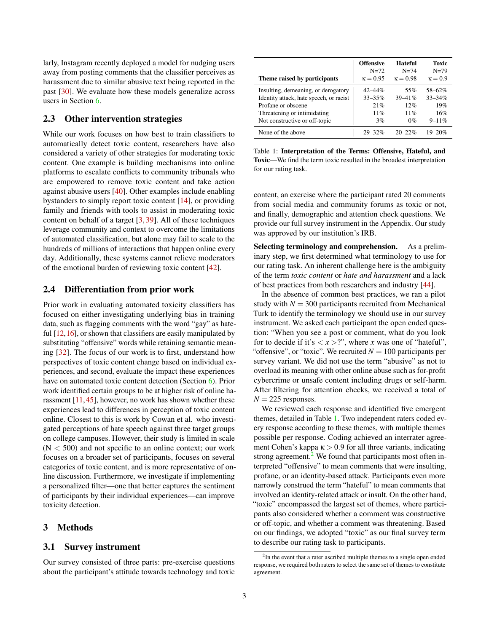larly, Instagram recently deployed a model for nudging users away from posting comments that the classifier perceives as harassment due to similar abusive text being reported in the past [\[30\]](#page-12-1). We evaluate how these models generalize across users in Section [6.](#page-8-0)

## 2.3 Other intervention strategies

While our work focuses on how best to train classifiers to automatically detect toxic content, researchers have also considered a variety of other strategies for moderating toxic content. One example is building mechanisms into online platforms to escalate conflicts to community tribunals who are empowered to remove toxic content and take action against abusive users [\[40\]](#page-13-13). Other examples include enabling bystanders to simply report toxic content [\[14\]](#page-12-24), or providing family and friends with tools to assist in moderating toxic content on behalf of a target  $[3, 39]$  $[3, 39]$  $[3, 39]$ . All of these techniques leverage community and context to overcome the limitations of automated classification, but alone may fail to scale to the hundreds of millions of interactions that happen online every day. Additionally, these systems cannot relieve moderators of the emotional burden of reviewing toxic content [\[42\]](#page-13-15).

# 2.4 Differentiation from prior work

Prior work in evaluating automated toxicity classifiers has focused on either investigating underlying bias in training data, such as flagging comments with the word "gay" as hateful  $[12,16]$  $[12,16]$ , or shown that classifiers are easily manipulated by substituting "offensive" words while retaining semantic meaning [\[32\]](#page-12-27). The focus of our work is to first, understand how perspectives of toxic content change based on individual experiences, and second, evaluate the impact these experiences have on automated toxic content detection (Section [6\)](#page-8-0). Prior work identified certain groups to be at higher risk of online harassment [\[11,](#page-12-4)[45\]](#page-13-5), however, no work has shown whether these experiences lead to differences in perception of toxic content online. Closest to this is work by Cowan et al. who investigated perceptions of hate speech against three target groups on college campuses. However, their study is limited in scale  $(N < 500)$  and not specific to an online context; our work focuses on a broader set of participants, focuses on several categories of toxic content, and is more representative of online discussion. Furthermore, we investigate if implementing a personalized filter—one that better captures the sentiment of participants by their individual experiences—can improve toxicity detection.

#### <span id="page-2-2"></span>3 Methods

#### 3.1 Survey instrument

Our survey consisted of three parts: pre-exercise questions about the participant's attitude towards technology and toxic

<span id="page-2-0"></span>

| Theme raised by participants            | <b>Offensive</b> | Hateful         | Toxic          |
|-----------------------------------------|------------------|-----------------|----------------|
|                                         | $N = 72$         | $N = 74$        | $N = 79$       |
|                                         | $\kappa = 0.95$  | $\kappa = 0.98$ | $\kappa = 0.9$ |
| Insulting, demeaning, or derogatory     | $42 - 44%$       | 55%             | 58-62%         |
| Identity attack, hate speech, or racist | $33 - 35\%$      | $39 - 41%$      | $33 - 34\%$    |
| Profane or obscene                      | 21%              | 12%             | 19%            |
| Threatening or intimidating             | 11%              | 11%             | 16%            |
| Not constructive or off-topic           | 3%               | $0\%$           | $9 - 11\%$     |
| None of the above                       | $29 - 32%$       | $20 - 22%$      | 19–20%         |

Table 1: Interpretation of the Terms: Offensive, Hateful, and Toxic—We find the term toxic resulted in the broadest interpretation for our rating task.

content, an exercise where the participant rated 20 comments from social media and community forums as toxic or not, and finally, demographic and attention check questions. We provide our full survey instrument in the Appendix. Our study was approved by our institution's IRB.

Selecting terminology and comprehension. As a preliminary step, we first determined what terminology to use for our rating task. An inherent challenge here is the ambiguity of the term *toxic content* or *hate and harassment* and a lack of best practices from both researchers and industry [\[44\]](#page-13-16).

In the absence of common best practices, we ran a pilot study with  $N = 300$  participants recruited from Mechanical Turk to identify the terminology we should use in our survey instrument. We asked each participant the open ended question: "When you see a post or comment, what do you look for to decide if it's  $\langle x \rangle$ ?", where *x* was one of "hateful", "offensive", or "toxic". We recruited  $N = 100$  participants per survey variant. We did not use the term "abusive" as not to overload its meaning with other online abuse such as for-profit cybercrime or unsafe content including drugs or self-harm. After filtering for attention checks, we received a total of  $N = 225$  responses.

We reviewed each response and identified five emergent themes, detailed in Table [1.](#page-2-0) Two independent raters coded every response according to these themes, with multiple themes possible per response. Coding achieved an interrater agreement Cohen's kappa  $\kappa > 0.9$  for all three variants, indicating strong agreement. $2$  We found that participants most often interpreted "offensive" to mean comments that were insulting, profane, or an identity-based attack. Participants even more narrowly construed the term "hateful" to mean comments that involved an identity-related attack or insult. On the other hand, "toxic" encompassed the largest set of themes, where participants also considered whether a comment was constructive or off-topic, and whether a comment was threatening. Based on our findings, we adopted "toxic" as our final survey term to describe our rating task to participants.

<span id="page-2-1"></span> $2$ In the event that a rater ascribed multiple themes to a single open ended response, we required both raters to select the same set of themes to constitute agreement.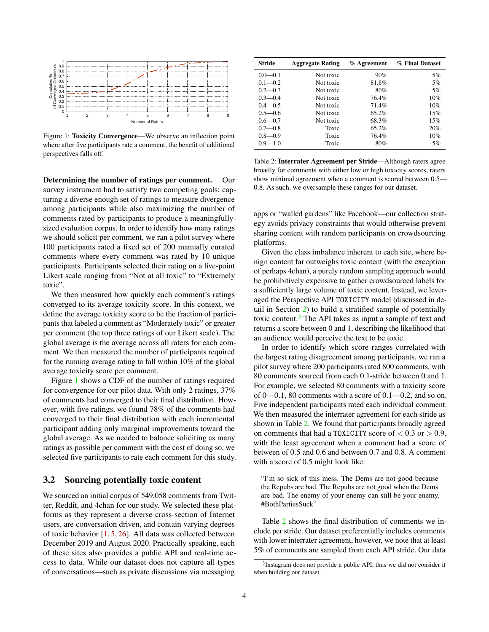<span id="page-3-0"></span>

Figure 1: Toxicity Convergence—We observe an inflection point where after five participants rate a comment, the benefit of additional perspectives falls off.

Determining the number of ratings per comment. Our survey instrument had to satisfy two competing goals: capturing a diverse enough set of ratings to measure divergence among participants while also maximizing the number of comments rated by participants to produce a meaningfullysized evaluation corpus. In order to identify how many ratings we should solicit per comment, we ran a pilot survey where 100 participants rated a fixed set of 200 manually curated comments where every comment was rated by 10 unique participants. Participants selected their rating on a five-point Likert scale ranging from "Not at all toxic" to "Extremely toxic".

We then measured how quickly each comment's ratings converged to its average toxicity score. In this context, we define the average toxicity score to be the fraction of participants that labeled a comment as "Moderately toxic" or greater per comment (the top three ratings of our Likert scale). The global average is the average across all raters for each comment. We then measured the number of participants required for the running average rating to fall within 10% of the global average toxicity score per comment.

Figure [1](#page-3-0) shows a CDF of the number of ratings required for convergence for our pilot data. With only 2 ratings, 37% of comments had converged to their final distribution. However, with five ratings, we found 78% of the comments had converged to their final distribution with each incremental participant adding only marginal improvements toward the global average. As we needed to balance soliciting as many ratings as possible per comment with the cost of doing so, we selected five participants to rate each comment for this study.

### 3.2 Sourcing potentially toxic content

We sourced an initial corpus of 549,058 comments from Twitter, Reddit, and 4chan for our study. We selected these platforms as they represent a diverse cross-section of Internet users, are conversation driven, and contain varying degrees of toxic behavior [\[1,](#page-12-28) [5,](#page-12-29) [26\]](#page-12-30). All data was collected between December 2019 and August 2020. Practically speaking, each of these sites also provides a public API and real-time access to data. While our dataset does not capture all types of conversations—such as private discussions via messaging

<span id="page-3-2"></span>

| <b>Stride</b> | <b>Aggregate Rating</b> | % Agreement | % Final Dataset |
|---------------|-------------------------|-------------|-----------------|
| $0.0 - 0.1$   | Not toxic               | 90%         | 5%              |
| $0.1 - 0.2$   | Not toxic               | 81.8%       | 5%              |
| $0.2 - 0.3$   | Not toxic               | 80%         | 5%              |
| $0.3 - 0.4$   | Not toxic               | 76.4%       | 10%             |
| $0.4 - 0.5$   | Not toxic               | 71.4%       | $10\%$          |
| $0.5 - 0.6$   | Not toxic               | 65.2%       | 15%             |
| $0.6 - 0.7$   | Not toxic               | 68.3%       | 15%             |
| $0.7 - 0.8$   | Toxic                   | 65.2%       | 20%             |
| $0.8 - 0.9$   | Toxic                   | 76.4%       | 10%             |
| $0.9 - 1.0$   | Toxic                   | 80%         | 5%              |

Table 2: Interrater Agreement per Stride—Although raters agree broadly for comments with either low or high toxicity scores, raters show minimal agreement when a comment is scored between 0.5— 0.8. As such, we oversample these ranges for our dataset.

apps or "walled gardens" like Facebook—our collection strategy avoids privacy constraints that would otherwise prevent sharing content with random participants on crowdsourcing platforms.

Given the class imbalance inherent to each site, where benign content far outweighs toxic content (with the exception of perhaps 4chan), a purely random sampling approach would be prohibitively expensive to gather crowdsourced labels for a sufficiently large volume of toxic content. Instead, we leveraged the Perspective API TOXICITY model (discussed in detail in Section [2\)](#page-1-1) to build a stratified sample of potentially toxic content. $3$  The API takes as input a sample of text and returns a score between 0 and 1, describing the likelihood that an audience would perceive the text to be toxic.

In order to identify which score ranges correlated with the largest rating disagreement among participants, we ran a pilot survey where 200 participants rated 800 comments, with 80 comments sourced from each 0.1-stride between 0 and 1. For example, we selected 80 comments with a toxicity score of  $0$ —0.1, 80 comments with a score of  $0.1$ —0.2, and so on. Five independent participants rated each individual comment. We then measured the interrater agreement for each stride as shown in Table [2.](#page-3-2) We found that participants broadly agreed on comments that had a TOXICITY score of  $< 0.3$  or  $> 0.9$ , with the least agreement when a comment had a score of between of 0.5 and 0.6 and between 0.7 and 0.8. A comment with a score of 0.5 might look like:

"I'm so sick of this mess. The Dems are not good because the Repubs are bad. The Repubs are not good when the Dems are bad. The enemy of your enemy can still be your enemy. #BothPartiesSuck"

Table [2](#page-3-2) shows the final distribution of comments we include per stride. Our dataset preferentially includes comments with lower interrater agreement, however, we note that at least 5% of comments are sampled from each API stride. Our data

<span id="page-3-1"></span><sup>&</sup>lt;sup>3</sup>Instagram does not provide a public API, thus we did not consider it when building our dataset.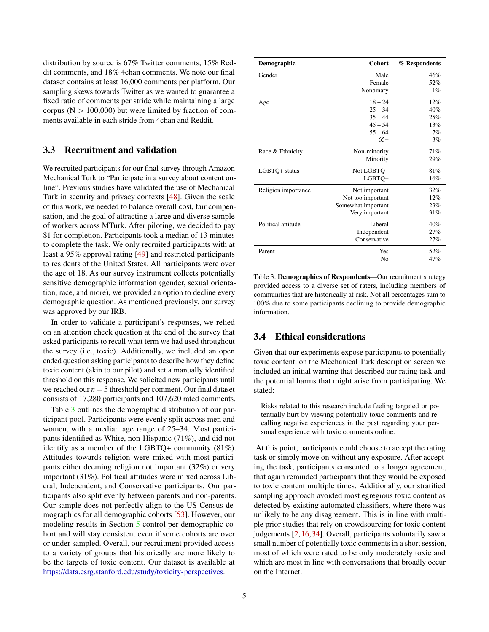distribution by source is 67% Twitter comments, 15% Reddit comments, and 18% 4chan comments. We note our final dataset contains at least 16,000 comments per platform. Our sampling skews towards Twitter as we wanted to guarantee a fixed ratio of comments per stride while maintaining a large corpus ( $N > 100,000$ ) but were limited by fraction of comments available in each stride from 4chan and Reddit.

# 3.3 Recruitment and validation

We recruited participants for our final survey through Amazon Mechanical Turk to "Participate in a survey about content online". Previous studies have validated the use of Mechanical Turk in security and privacy contexts [\[48\]](#page-13-17). Given the scale of this work, we needed to balance overall cost, fair compensation, and the goal of attracting a large and diverse sample of workers across MTurk. After piloting, we decided to pay \$1 for completion. Participants took a median of 13 minutes to complete the task. We only recruited participants with at least a 95% approval rating [\[49\]](#page-13-18) and restricted participants to residents of the United States. All participants were over the age of 18. As our survey instrument collects potentially sensitive demographic information (gender, sexual orientation, race, and more), we provided an option to decline every demographic question. As mentioned previously, our survey was approved by our IRB.

In order to validate a participant's responses, we relied on an attention check question at the end of the survey that asked participants to recall what term we had used throughout the survey (i.e., toxic). Additionally, we included an open ended question asking participants to describe how they define toxic content (akin to our pilot) and set a manually identified threshold on this response. We solicited new participants until we reached our  $n = 5$  threshold per comment. Our final dataset consists of 17,280 participants and 107,620 rated comments.

Table [3](#page-4-0) outlines the demographic distribution of our participant pool. Participants were evenly split across men and women, with a median age range of 25–34. Most participants identified as White, non-Hispanic (71%), and did not identify as a member of the LGBTQ+ community (81%). Attitudes towards religion were mixed with most participants either deeming religion not important (32%) or very important (31%). Political attitudes were mixed across Liberal, Independent, and Conservative participants. Our participants also split evenly between parents and non-parents. Our sample does not perfectly align to the US Census demographics for all demographic cohorts [\[53\]](#page-13-19). However, our modeling results in Section [5](#page-7-0) control per demographic cohort and will stay consistent even if some cohorts are over or under sampled. Overall, our recruitment provided access to a variety of groups that historically are more likely to be the targets of toxic content. Our dataset is available at [https://data.esrg.stanford.edu/study/toxicity-perspectives.](https://data.esrg.stanford.edu/study/toxicity-perspectives)

<span id="page-4-0"></span>

| Demographic         | <b>Cohort</b>      | % Respondents |
|---------------------|--------------------|---------------|
| Gender              | Male               | 46%           |
|                     | Female             | 52%           |
|                     | Nonbinary          | $1\%$         |
| Age                 | $18 - 24$          | 12%           |
|                     | $25 - 34$          | 40%           |
|                     | $35 - 44$          | 25%           |
|                     | $45 - 54$          | 13%           |
|                     | $55 - 64$          | 7%            |
|                     | $65+$              | 3%            |
| Race & Ethnicity    | Non-minority       | 71%           |
|                     | Minority           | 29%           |
| LGBTQ+ status       | Not LGBTQ+         | 81%           |
|                     | LGBTO+             | 16%           |
| Religion importance | Not important      | 32%           |
|                     | Not too important  | 12%           |
|                     | Somewhat important | 23%           |
|                     | Very important     | 31%           |
| Political attitude  | Liberal            | 40%           |
|                     | Independent        | 27%           |
|                     | Conservative       | 27%           |
| Parent              | Yes                | 52%           |
|                     | No                 | 47%           |

Table 3: Demographics of Respondents—Our recruitment strategy provided access to a diverse set of raters, including members of communities that are historically at-risk. Not all percentages sum to 100% due to some participants declining to provide demographic information.

## 3.4 Ethical considerations

Given that our experiments expose participants to potentially toxic content, on the Mechanical Turk description screen we included an initial warning that described our rating task and the potential harms that might arise from participating. We stated:

Risks related to this research include feeling targeted or potentially hurt by viewing potentially toxic comments and recalling negative experiences in the past regarding your personal experience with toxic comments online.

At this point, participants could choose to accept the rating task or simply move on without any exposure. After accepting the task, participants consented to a longer agreement, that again reminded participants that they would be exposed to toxic content multiple times. Additionally, our stratified sampling approach avoided most egregious toxic content as detected by existing automated classifiers, where there was unlikely to be any disagreement. This is in line with multiple prior studies that rely on crowdsourcing for toxic content judgements [\[2,](#page-12-16) [16,](#page-12-15) [34\]](#page-12-0). Overall, participants voluntarily saw a small number of potentially toxic comments in a short session, most of which were rated to be only moderately toxic and which are most in line with conversations that broadly occur on the Internet.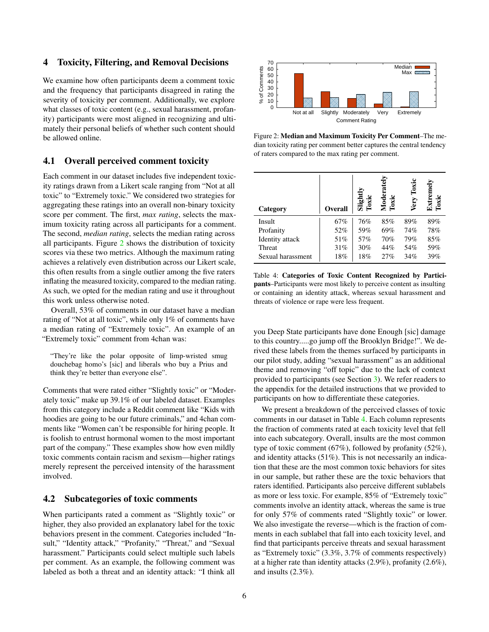### 4 Toxicity, Filtering, and Removal Decisions

We examine how often participants deem a comment toxic and the frequency that participants disagreed in rating the severity of toxicity per comment. Additionally, we explore what classes of toxic content (e.g., sexual harassment, profanity) participants were most aligned in recognizing and ultimately their personal beliefs of whether such content should be allowed online.

#### 4.1 Overall perceived comment toxicity

Each comment in our dataset includes five independent toxicity ratings drawn from a Likert scale ranging from "Not at all toxic" to "Extremely toxic." We considered two strategies for aggregating these ratings into an overall non-binary toxicity score per comment. The first, *max rating*, selects the maximum toxicity rating across all participants for a comment. The second, *median rating*, selects the median rating across all participants. Figure [2](#page-5-0) shows the distribution of toxicity scores via these two metrics. Although the maximum rating achieves a relatively even distribution across our Likert scale, this often results from a single outlier among the five raters inflating the measured toxicity, compared to the median rating. As such, we opted for the median rating and use it throughout this work unless otherwise noted.

Overall, 53% of comments in our dataset have a median rating of "Not at all toxic", while only 1% of comments have a median rating of "Extremely toxic". An example of an "Extremely toxic" comment from 4chan was:

"They're like the polar opposite of limp-wristed smug douchebag homo's [sic] and liberals who buy a Prius and think they're better than everyone else".

Comments that were rated either "Slightly toxic" or "Moderately toxic" make up 39.1% of our labeled dataset. Examples from this category include a Reddit comment like "Kids with hoodies are going to be our future criminals," and 4chan comments like "Women can't be responsible for hiring people. It is foolish to entrust hormonal women to the most important part of the company." These examples show how even mildly toxic comments contain racism and sexism—higher ratings merely represent the perceived intensity of the harassment involved.

#### 4.2 Subcategories of toxic comments

When participants rated a comment as "Slightly toxic" or higher, they also provided an explanatory label for the toxic behaviors present in the comment. Categories included "Insult," "Identity attack," "Profanity," "Threat," and "Sexual harassment." Participants could select multiple such labels per comment. As an example, the following comment was labeled as both a threat and an identity attack: "I think all

<span id="page-5-0"></span>

Figure 2: Median and Maximum Toxicity Per Comment–The median toxicity rating per comment better captures the central tendency of raters compared to the max rating per comment.

<span id="page-5-1"></span>

| Category               | Overall | Sligh<br>$\log$ | ā<br>Mode<br>Toxic | Toxic<br>Very | emely<br>Extre<br>Toxic |
|------------------------|---------|-----------------|--------------------|---------------|-------------------------|
| Insult                 | 67%     | 76%             | 85%                | 89%           | 89%                     |
| Profanity              | 52%     | 59%             | 69%                | 74%           | 78%                     |
| <b>Identity</b> attack | 51%     | 57%             | 70%                | 79%           | 85%                     |
| Threat                 | 31%     | 30%             | 44%                | 54%           | 59%                     |
| Sexual harassment      | 18%     | 18%             | 27%                | 34%           | 39%                     |

Table 4: Categories of Toxic Content Recognized by Participants–Participants were most likely to perceive content as insulting or containing an identity attack, whereas sexual harassment and threats of violence or rape were less frequent.

you Deep State participants have done Enough [sic] damage to this country.....go jump off the Brooklyn Bridge!". We derived these labels from the themes surfaced by participants in our pilot study, adding "sexual harassment" as an additional theme and removing "off topic" due to the lack of context provided to participants (see Section [3\)](#page-2-2). We refer readers to the appendix for the detailed instructions that we provided to participants on how to differentiate these categories.

We present a breakdown of the perceived classes of toxic comments in our dataset in Table [4.](#page-5-1) Each column represents the fraction of comments rated at each toxicity level that fell into each subcategory. Overall, insults are the most common type of toxic comment (67%), followed by profanity (52%), and identity attacks (51%). This is not necessarily an indication that these are the most common toxic behaviors for sites in our sample, but rather these are the toxic behaviors that raters identified. Participants also perceive different sublabels as more or less toxic. For example, 85% of "Extremely toxic" comments involve an identity attack, whereas the same is true for only 57% of comments rated "Slightly toxic" or lower. We also investigate the reverse—which is the fraction of comments in each sublabel that fall into each toxicity level, and find that participants perceive threats and sexual harassment as "Extremely toxic" (3.3%, 3.7% of comments respectively) at a higher rate than identity attacks (2.9%), profanity (2.6%), and insults (2.3%).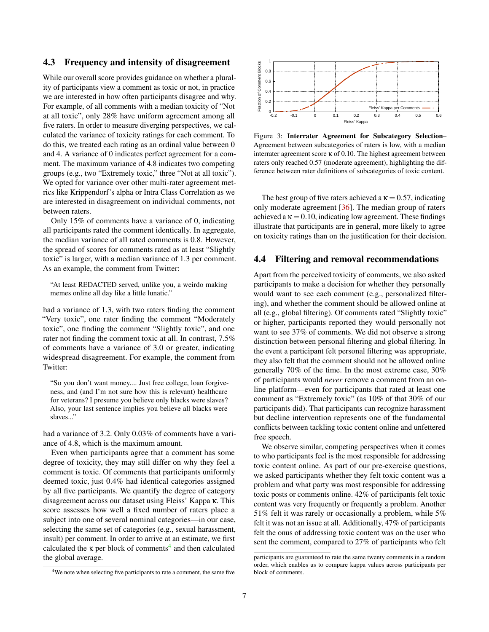#### 4.3 Frequency and intensity of disagreement

While our overall score provides guidance on whether a plurality of participants view a comment as toxic or not, in practice we are interested in how often participants disagree and why. For example, of all comments with a median toxicity of "Not at all toxic", only 28% have uniform agreement among all five raters. In order to measure diverging perspectives, we calculated the variance of toxicity ratings for each comment. To do this, we treated each rating as an ordinal value between 0 and 4. A variance of 0 indicates perfect agreement for a comment. The maximum variance of 4.8 indicates two competing groups (e.g., two "Extremely toxic," three "Not at all toxic"). We opted for variance over other multi-rater agreement metrics like Krippendorf's alpha or Intra Class Correlation as we are interested in disagreement on individual comments, not between raters.

Only 15% of comments have a variance of 0, indicating all participants rated the comment identically. In aggregate, the median variance of all rated comments is 0.8. However, the spread of scores for comments rated as at least "Slightly toxic" is larger, with a median variance of 1.3 per comment. As an example, the comment from Twitter:

"At least REDACTED served, unlike you, a weirdo making memes online all day like a little lunatic."

had a variance of 1.3, with two raters finding the comment "Very toxic", one rater finding the comment "Moderately toxic", one finding the comment "Slightly toxic", and one rater not finding the comment toxic at all. In contrast, 7.5% of comments have a variance of 3.0 or greater, indicating widespread disagreement. For example, the comment from Twitter:

"So you don't want money.... Just free college, loan forgiveness, and (and I'm not sure how this is relevant) healthcare for veterans? I presume you believe only blacks were slaves? Also, your last sentence implies you believe all blacks were slaves..."

had a variance of 3.2. Only  $0.03\%$  of comments have a variance of 4.8, which is the maximum amount.

Even when participants agree that a comment has some degree of toxicity, they may still differ on why they feel a comment is toxic. Of comments that participants uniformly deemed toxic, just 0.4% had identical categories assigned by all five participants. We quantify the degree of category disagreement across our dataset using Fleiss' Kappa κ. This score assesses how well a fixed number of raters place a subject into one of several nominal categories—in our case, selecting the same set of categories (e.g., sexual harassment, insult) per comment. In order to arrive at an estimate, we first calculated the  $\kappa$  per block of comments<sup>[4](#page-6-0)</sup> and then calculated the global average.



Figure 3: Interrater Agreement for Subcategory Selection– Agreement between subcategories of raters is low, with a median interrater agreement score  $\kappa$  of 0.10. The highest agreement between raters only reached 0.57 (moderate agreement), highlighting the difference between rater definitions of subcategories of toxic content.

The best group of five raters achieved a  $\kappa = 0.57$ , indicating only moderate agreement [\[36\]](#page-12-31). The median group of raters achieved a  $\kappa = 0.10$ , indicating low agreement. These findings illustrate that participants are in general, more likely to agree on toxicity ratings than on the justification for their decision.

#### 4.4 Filtering and removal recommendations

Apart from the perceived toxicity of comments, we also asked participants to make a decision for whether they personally would want to see each comment (e.g., personalized filtering), and whether the comment should be allowed online at all (e.g., global filtering). Of comments rated "Slightly toxic" or higher, participants reported they would personally not want to see 37% of comments. We did not observe a strong distinction between personal filtering and global filtering. In the event a participant felt personal filtering was appropriate, they also felt that the comment should not be allowed online generally 70% of the time. In the most extreme case, 30% of participants would *never* remove a comment from an online platform—even for participants that rated at least one comment as "Extremely toxic" (as 10% of that 30% of our participants did). That participants can recognize harassment but decline intervention represents one of the fundamental conflicts between tackling toxic content online and unfettered free speech.

We observe similar, competing perspectives when it comes to who participants feel is the most responsible for addressing toxic content online. As part of our pre-exercise questions, we asked participants whether they felt toxic content was a problem and what party was most responsible for addressing toxic posts or comments online. 42% of participants felt toxic content was very frequently or frequently a problem. Another 51% felt it was rarely or occasionally a problem, while 5% felt it was not an issue at all. Additionally, 47% of participants felt the onus of addressing toxic content was on the user who sent the comment, compared to 27% of participants who felt

<span id="page-6-0"></span><sup>&</sup>lt;sup>4</sup>We note when selecting five participants to rate a comment, the same five

participants are guaranteed to rate the same twenty comments in a random order, which enables us to compare kappa values across participants per block of comments.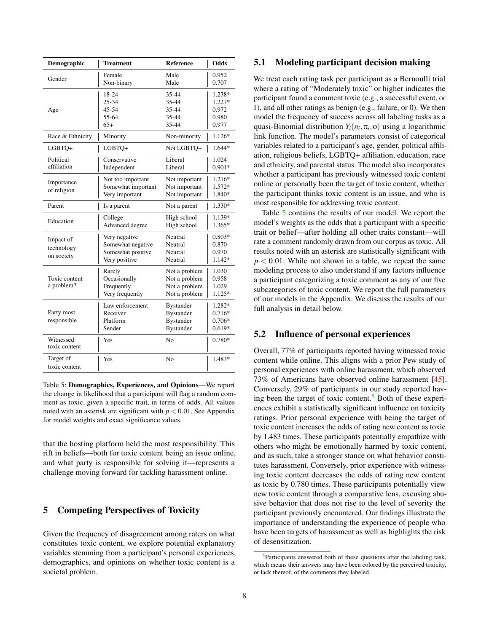<span id="page-7-1"></span>

| Demographic                           | <b>Treatment</b>                                                         | Reference                                                                    | Odds                                        |
|---------------------------------------|--------------------------------------------------------------------------|------------------------------------------------------------------------------|---------------------------------------------|
| Gender                                | Female<br>Non-binary                                                     | Male<br>Male                                                                 | 0.952<br>0.707                              |
| Age                                   | 18-24<br>25-34<br>45-54<br>55-64<br>$65+$                                | 35-44<br>35-44<br>35-44<br>35-44<br>35-44                                    | 1.238*<br>1.227*<br>0.972<br>0.980<br>0.977 |
| Race & Ethnicity                      | Minority                                                                 | Non-minority                                                                 | 1.126*                                      |
| LGBTQ+                                | LGBTQ+                                                                   | Not LGBTQ+                                                                   | 1.644*                                      |
| Political<br>affiliation              | Conservative<br>Independent                                              | Liberal<br>Liberal                                                           | 1.024<br>$0.901*$                           |
| Importance<br>of religion             | Not too important<br>Somewhat important<br>Very important                | Not important<br>Not important<br>Not important                              | 1.216*<br>1.572*<br>1.840*                  |
| Parent                                | Is a parent                                                              | Not a parent                                                                 | 1.330*                                      |
| Education                             | College<br>Advanced degree                                               | High school<br>High school                                                   | 1.139*<br>1.365*                            |
| Impact of<br>technology<br>on society | Very negative<br>Somewhat negative<br>Somewhat positive<br>Very positive | Neutral<br>Neutral<br>Neutral<br>Neutral                                     | $0.803*$<br>0.870<br>0.970<br>1.142*        |
| Toxic content<br>a problem?           | Rarely<br>Occasionally<br>Frequently<br>Very frequently                  | Not a problem<br>Not a problem<br>Not a problem<br>Not a problem             | 1.030<br>0.958<br>1.029<br>1.125*           |
| Party most<br>responsible             | Law enforcement<br>Receiver<br>Platform<br>Sender                        | <b>Bystander</b><br><b>Bystander</b><br><b>Bystander</b><br><b>Bystander</b> | 1.282*<br>$0.716*$<br>$0.706*$<br>$0.619*$  |
| Witnessed<br>toxic content            | Yes                                                                      | No                                                                           | $0.780*$                                    |
| Target of<br>toxic content            | Yes                                                                      | N <sub>o</sub>                                                               | 1.483*                                      |

Table 5: Demographics, Experiences, and Opinions—We report the change in likelihood that a participant will flag a random comment as toxic, given a specific trait, in terms of odds. All values noted with an asterisk are significant with  $p < 0.01$ . See Appendix for model weights and exact significance values.

that the hosting platform held the most responsibility. This rift in beliefs—both for toxic content being an issue online, and what party is responsible for solving it—represents a challenge moving forward for tackling harassment online.

# <span id="page-7-0"></span>5 Competing Perspectives of Toxicity

Given the frequency of disagreement among raters on what constitutes toxic content, we explore potential explanatory variables stemming from a participant's personal experiences, demographics, and opinions on whether toxic content is a societal problem.

### 5.1 Modeling participant decision making

We treat each rating task per participant as a Bernoulli trial where a rating of "Moderately toxic" or higher indicates the participant found a comment toxic (e.g., a successful event, or 1), and all other ratings as benign (e.g., failure, or 0). We then model the frequency of success across all labeling tasks as a quasi-Binomial distribution  $Y_i(n_i, \pi_i, \phi)$  using a logarithmic link function. The model's parameters consist of categorical variables related to a participant's age, gender, political affiliation, religious beliefs, LGBTQ+ affiliation, education, race and ethnicity, and parental status. The model also incorporates whether a participant has previously witnessed toxic content online or personally been the target of toxic content, whether the participant thinks toxic content is an issue, and who is most responsible for addressing toxic content.

Table [5](#page-7-1) contains the results of our model. We report the model's weights as the odds that a participant with a specific trait or belief—after holding all other traits constant—will rate a comment randomly drawn from our corpus as toxic. All results noted with an asterisk are statistically significant with  $p < 0.01$ . While not shown in a table, we repeat the same modeling process to also understand if any factors influence a participant categorizing a toxic comment as any of our five subcategories of toxic content. We report the full parameters of our models in the Appendix. We discuss the results of our full analysis in detail below.

#### 5.2 Influence of personal experiences

Overall, 77% of participants reported having witnessed toxic content while online. This aligns with a prior Pew study of personal experiences with online harassment, which observed 73% of Americans have observed online harassment [\[45\]](#page-13-5). Conversely, 29% of participants in our study reported hav-ing been the target of toxic content.<sup>[5](#page-7-2)</sup> Both of these experiences exhibit a statistically significant influence on toxicity ratings. Prior personal experience with being the target of toxic content increases the odds of rating new content as toxic by 1.483 times. These participants potentially empathize with others who might be emotionally harmed by toxic content, and as such, take a stronger stance on what behavior constitutes harassment. Conversely, prior experience with witnessing toxic content decreases the odds of rating new content as toxic by 0.780 times. These participants potentially view new toxic content through a comparative lens, excusing abusive behavior that does not rise to the level of severity the participant previously encountered. Our findings illustrate the importance of understanding the experience of people who have been targets of harassment as well as highlights the risk of desensitization.

<span id="page-7-2"></span><sup>5</sup>Participants answered both of these questions after the labeling task, which means their answers may have been colored by the perceived toxicity, or lack thereof, of the comments they labeled.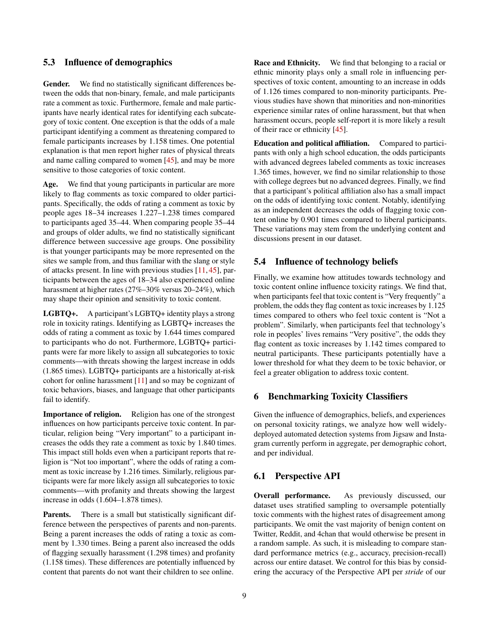# 5.3 Influence of demographics

Gender. We find no statistically significant differences between the odds that non-binary, female, and male participants rate a comment as toxic. Furthermore, female and male participants have nearly identical rates for identifying each subcategory of toxic content. One exception is that the odds of a male participant identifying a comment as threatening compared to female participants increases by 1.158 times. One potential explanation is that men report higher rates of physical threats and name calling compared to women [\[45\]](#page-13-5), and may be more sensitive to those categories of toxic content.

Age. We find that young participants in particular are more likely to flag comments as toxic compared to older participants. Specifically, the odds of rating a comment as toxic by people ages 18–34 increases 1.227–1.238 times compared to participants aged 35–44. When comparing people 35–44 and groups of older adults, we find no statistically significant difference between successive age groups. One possibility is that younger participants may be more represented on the sites we sample from, and thus familiar with the slang or style of attacks present. In line with previous studies [\[11,](#page-12-4) [45\]](#page-13-5), participants between the ages of 18–34 also experienced online harassment at higher rates (27%–30% versus 20–24%), which may shape their opinion and sensitivity to toxic content.

LGBTQ+. A participant's LGBTQ+ identity plays a strong role in toxicity ratings. Identifying as LGBTQ+ increases the odds of rating a comment as toxic by 1.644 times compared to participants who do not. Furthermore, LGBTQ+ participants were far more likely to assign all subcategories to toxic comments—with threats showing the largest increase in odds (1.865 times). LGBTQ+ participants are a historically at-risk cohort for online harassment [\[11\]](#page-12-4) and so may be cognizant of toxic behaviors, biases, and language that other participants fail to identify.

Importance of religion. Religion has one of the strongest influences on how participants perceive toxic content. In particular, religion being "Very important" to a participant increases the odds they rate a comment as toxic by 1.840 times. This impact still holds even when a participant reports that religion is "Not too important", where the odds of rating a comment as toxic increase by 1.216 times. Similarly, religious participants were far more likely assign all subcategories to toxic comments—with profanity and threats showing the largest increase in odds (1.604–1.878 times).

Parents. There is a small but statistically significant difference between the perspectives of parents and non-parents. Being a parent increases the odds of rating a toxic as comment by 1.330 times. Being a parent also increased the odds of flagging sexually harassment (1.298 times) and profanity (1.158 times). These differences are potentially influenced by content that parents do not want their children to see online.

Race and Ethnicity. We find that belonging to a racial or ethnic minority plays only a small role in influencing perspectives of toxic content, amounting to an increase in odds of 1.126 times compared to non-minority participants. Previous studies have shown that minorities and non-minorities experience similar rates of online harassment, but that when harassment occurs, people self-report it is more likely a result of their race or ethnicity [\[45\]](#page-13-5).

Education and political affiliation. Compared to participants with only a high school education, the odds participants with advanced degrees labeled comments as toxic increases 1.365 times, however, we find no similar relationship to those with college degrees but no advanced degrees. Finally, we find that a participant's political affiliation also has a small impact on the odds of identifying toxic content. Notably, identifying as an independent decreases the odds of flagging toxic content online by 0.901 times compared to liberal participants. These variations may stem from the underlying content and discussions present in our dataset.

# 5.4 Influence of technology beliefs

Finally, we examine how attitudes towards technology and toxic content online influence toxicity ratings. We find that, when participants feel that toxic content is "Very frequently" a problem, the odds they flag content as toxic increases by 1.125 times compared to others who feel toxic content is "Not a problem". Similarly, when participants feel that technology's role in peoples' lives remains "Very positive", the odds they flag content as toxic increases by 1.142 times compared to neutral participants. These participants potentially have a lower threshold for what they deem to be toxic behavior, or feel a greater obligation to address toxic content.

# <span id="page-8-0"></span>6 Benchmarking Toxicity Classifiers

Given the influence of demographics, beliefs, and experiences on personal toxicity ratings, we analyze how well widelydeployed automated detection systems from Jigsaw and Instagram currently perform in aggregate, per demographic cohort, and per individual.

# 6.1 Perspective API

Overall performance. As previously discussed, our dataset uses stratified sampling to oversample potentially toxic comments with the highest rates of disagreement among participants. We omit the vast majority of benign content on Twitter, Reddit, and 4chan that would otherwise be present in a random sample. As such, it is misleading to compare standard performance metrics (e.g., accuracy, precision-recall) across our entire dataset. We control for this bias by considering the accuracy of the Perspective API per *stride* of our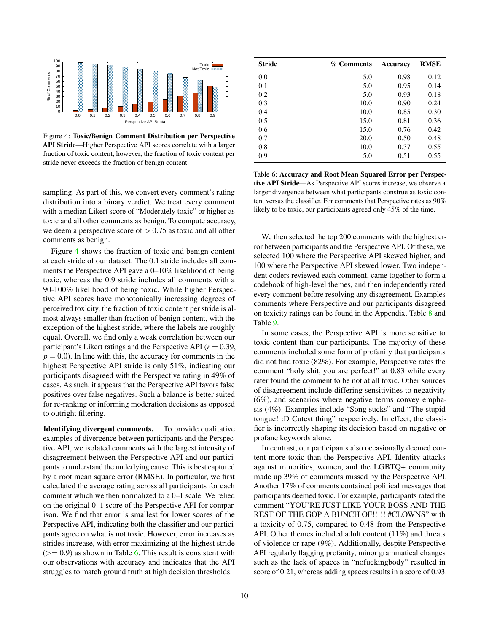<span id="page-9-0"></span>

Figure 4: Toxic/Benign Comment Distribution per Perspective API Stride—Higher Perspective API scores correlate with a larger fraction of toxic content, however, the fraction of toxic content per stride never exceeds the fraction of benign content.

sampling. As part of this, we convert every comment's rating distribution into a binary verdict. We treat every comment with a median Likert score of "Moderately toxic" or higher as toxic and all other comments as benign. To compute accuracy, we deem a perspective score of  $> 0.75$  as toxic and all other comments as benign.

Figure [4](#page-9-0) shows the fraction of toxic and benign content at each stride of our dataset. The 0.1 stride includes all comments the Perspective API gave a 0–10% likelihood of being toxic, whereas the 0.9 stride includes all comments with a 90-100% likelihood of being toxic. While higher Perspective API scores have monotonically increasing degrees of perceived toxicity, the fraction of toxic content per stride is almost always smaller than fraction of benign content, with the exception of the highest stride, where the labels are roughly equal. Overall, we find only a weak correlation between our participant's Likert ratings and the Perspective API ( $r = 0.39$ ,  $p = 0.0$ ). In line with this, the accuracy for comments in the highest Perspective API stride is only 51%, indicating our participants disagreed with the Perspective rating in 49% of cases. As such, it appears that the Perspective API favors false positives over false negatives. Such a balance is better suited for re-ranking or informing moderation decisions as opposed to outright filtering.

Identifying divergent comments. To provide qualitative examples of divergence between participants and the Perspective API, we isolated comments with the largest intensity of disagreement between the Perspective API and our participants to understand the underlying cause. This is best captured by a root mean square error (RMSE). In particular, we first calculated the average rating across all participants for each comment which we then normalized to a 0–1 scale. We relied on the original 0–1 score of the Perspective API for comparison. We find that error is smallest for lower scores of the Perspective API, indicating both the classifier and our participants agree on what is not toxic. However, error increases as strides increase, with error maximizing at the highest stride  $(>= 0.9)$  as shown in Table [6.](#page-9-1) This result is consistent with our observations with accuracy and indicates that the API struggles to match ground truth at high decision thresholds.

<span id="page-9-1"></span>

| <b>Stride</b> | % Comments | Accuracy | <b>RMSE</b> |
|---------------|------------|----------|-------------|
| 0.0           | 5.0        | 0.98     | 0.12        |
| 0.1           | 5.0        | 0.95     | 0.14        |
| 0.2           | 5.0        | 0.93     | 0.18        |
| 0.3           | 10.0       | 0.90     | 0.24        |
| 0.4           | 10.0       | 0.85     | 0.30        |
| 0.5           | 15.0       | 0.81     | 0.36        |
| 0.6           | 15.0       | 0.76     | 0.42        |
| 0.7           | 20.0       | 0.50     | 0.48        |
| 0.8           | 10.0       | 0.37     | 0.55        |
| 0.9           | 5.0        | 0.51     | 0.55        |

Table 6: Accuracy and Root Mean Squared Error per Perspective API Stride—As Perspective API scores increase, we observe a larger divergence between what participants construe as toxic content versus the classifier. For comments that Perspective rates as 90% likely to be toxic, our participants agreed only 45% of the time.

We then selected the top 200 comments with the highest error between participants and the Perspective API. Of these, we selected 100 where the Perspective API skewed higher, and 100 where the Perspective API skewed lower. Two independent coders reviewed each comment, came together to form a codebook of high-level themes, and then independently rated every comment before resolving any disagreement. Examples comments where Perspective and our participants disagreed on toxicity ratings can be found in the Appendix, Table [8](#page-17-0) and Table [9.](#page-17-0)

In some cases, the Perspective API is more sensitive to toxic content than our participants. The majority of these comments included some form of profanity that participants did not find toxic (82%). For example, Perspective rates the comment "holy shit, you are perfect!" at 0.83 while every rater found the comment to be not at all toxic. Other sources of disagreement include differing sensitivities to negativity (6%), and scenarios where negative terms convey emphasis (4%). Examples include "Song sucks" and "The stupid tongue! :D Cutest thing" respectively. In effect, the classifier is incorrectly shaping its decision based on negative or profane keywords alone.

In contrast, our participants also occasionally deemed content more toxic than the Perspective API. Identity attacks against minorities, women, and the LGBTQ+ community made up 39% of comments missed by the Perspective API. Another 17% of comments contained political messages that participants deemed toxic. For example, participants rated the comment "YOU'RE JUST LIKE YOUR BOSS AND THE REST OF THE GOP A BUNCH OF!!!!! #CLOWNS" with a toxicity of 0.75, compared to 0.48 from the Perspective API. Other themes included adult content (11%) and threats of violence or rape (9%). Additionally, despite Perspective API regularly flagging profanity, minor grammatical changes such as the lack of spaces in "nofuckingbody" resulted in score of 0.21, whereas adding spaces results in a score of 0.93.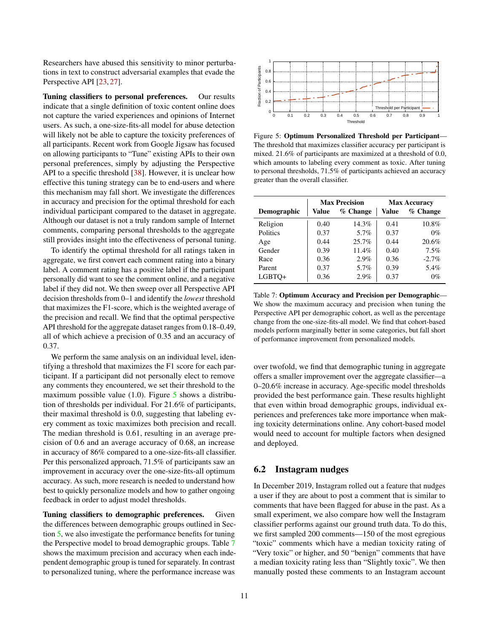Researchers have abused this sensitivity to minor perturbations in text to construct adversarial examples that evade the Perspective API [\[23,](#page-12-32) [27\]](#page-12-33).

Tuning classifiers to personal preferences. Our results indicate that a single definition of toxic content online does not capture the varied experiences and opinions of Internet users. As such, a one-size-fits-all model for abuse detection will likely not be able to capture the toxicity preferences of all participants. Recent work from Google Jigsaw has focused on allowing participants to "Tune" existing APIs to their own personal preferences, simply by adjusting the Perspective API to a specific threshold [\[38\]](#page-12-34). However, it is unclear how effective this tuning strategy can be to end-users and where this mechanism may fall short. We investigate the differences in accuracy and precision for the optimal threshold for each individual participant compared to the dataset in aggregate. Although our dataset is not a truly random sample of Internet comments, comparing personal thresholds to the aggregate still provides insight into the effectiveness of personal tuning.

To identify the optimal threshold for all ratings taken in aggregate, we first convert each comment rating into a binary label. A comment rating has a positive label if the participant personally did want to see the comment online, and a negative label if they did not. We then sweep over all Perspective API decision thresholds from 0–1 and identify the *lowest* threshold that maximizes the F1-score, which is the weighted average of the precision and recall. We find that the optimal perspective API threshold for the aggregate dataset ranges from 0.18–0.49, all of which achieve a precision of 0.35 and an accuracy of 0.37.

We perform the same analysis on an individual level, identifying a threshold that maximizes the F1 score for each participant. If a participant did not personally elect to remove any comments they encountered, we set their threshold to the maximum possible value  $(1.0)$ . Figure [5](#page-10-0) shows a distribution of thresholds per individual. For 21.6% of participants, their maximal threshold is 0.0, suggesting that labeling every comment as toxic maximizes both precision and recall. The median threshold is 0.61, resulting in an average precision of 0.6 and an average accuracy of 0.68, an increase in accuracy of 86% compared to a one-size-fits-all classifier. Per this personalized approach, 71.5% of participants saw an improvement in accuracy over the one-size-fits-all optimum accuracy. As such, more research is needed to understand how best to quickly personalize models and how to gather ongoing feedback in order to adjust model thresholds.

Tuning classifiers to demographic preferences. Given the differences between demographic groups outlined in Section [5,](#page-7-0) we also investigate the performance benefits for tuning the Perspective model to broad demographic groups. Table [7](#page-10-1) shows the maximum precision and accuracy when each independent demographic group is tuned for separately. In contrast to personalized tuning, where the performance increase was

<span id="page-10-0"></span>

Figure 5: Optimum Personalized Threshold per Participant— The threshold that maximizes classifier accuracy per participant is mixed. 21.6% of participants are maximized at a threshold of 0.0, which amounts to labeling every comment as toxic. After tuning to personal thresholds, 71.5% of participants achieved an accuracy greater than the overall classifier.

<span id="page-10-1"></span>

|             |       | <b>Max Precision</b> |       | <b>Max Accuracy</b> |
|-------------|-------|----------------------|-------|---------------------|
| Demographic | Value | % Change             | Value | $%$ Change          |
| Religion    | 0.40  | 14.3%                | 0.41  | 10.8%               |
| Politics    | 0.37  | 5.7%                 | 0.37  | $0\%$               |
| Age         | 0.44  | 25.7%                | 0.44  | 20.6%               |
| Gender      | 0.39  | 11.4%                | 0.40  | 7.5%                |
| Race        | 0.36  | 2.9%                 | 0.36  | $-2.7\%$            |
| Parent      | 0.37  | 5.7%                 | 0.39  | 5.4%                |
| LGBTO+      | 0.36  | 2.9%                 | 0.37  | $0\%$               |

Table 7: Optimum Accuracy and Precision per Demographic— We show the maximum accuracy and precision when tuning the Perspective API per demographic cohort, as well as the percentage change from the one-size-fits-all model. We find that cohort-based models perform marginally better in some categories, but fall short of performance improvement from personalized models.

over twofold, we find that demographic tuning in aggregate offers a smaller improvement over the aggregate classifier—a 0–20.6% increase in accuracy. Age-specific model thresholds provided the best performance gain. These results highlight that even within broad demographic groups, individual experiences and preferences take more importance when making toxicity determinations online. Any cohort-based model would need to account for multiple factors when designed and deployed.

# 6.2 Instagram nudges

In December 2019, Instagram rolled out a feature that nudges a user if they are about to post a comment that is similar to comments that have been flagged for abuse in the past. As a small experiment, we also compare how well the Instagram classifier performs against our ground truth data. To do this, we first sampled 200 comments—150 of the most egregious "toxic" comments which have a median toxicity rating of "Very toxic" or higher, and 50 "benign" comments that have a median toxicity rating less than "Slightly toxic". We then manually posted these comments to an Instagram account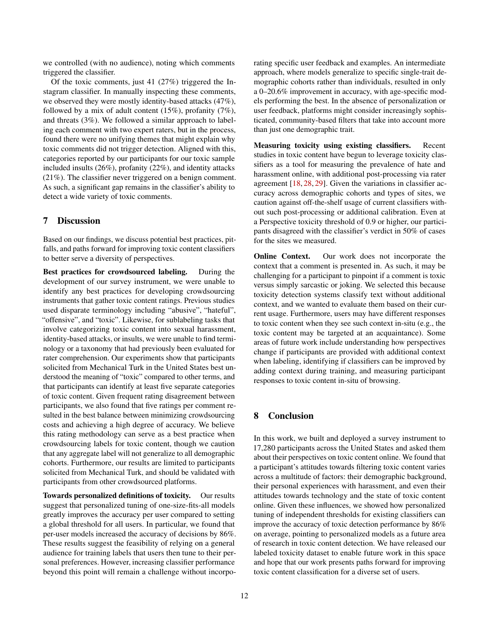we controlled (with no audience), noting which comments triggered the classifier.

Of the toxic comments, just 41 (27%) triggered the Instagram classifier. In manually inspecting these comments, we observed they were mostly identity-based attacks (47%), followed by a mix of adult content (15%), profanity (7%), and threats (3%). We followed a similar approach to labeling each comment with two expert raters, but in the process, found there were no unifying themes that might explain why toxic comments did not trigger detection. Aligned with this, categories reported by our participants for our toxic sample included insults (26%), profanity (22%), and identity attacks (21%). The classifier never triggered on a benign comment. As such, a significant gap remains in the classifier's ability to detect a wide variety of toxic comments.

## 7 Discussion

Based on our findings, we discuss potential best practices, pitfalls, and paths forward for improving toxic content classifiers to better serve a diversity of perspectives.

Best practices for crowdsourced labeling. During the development of our survey instrument, we were unable to identify any best practices for developing crowdsourcing instruments that gather toxic content ratings. Previous studies used disparate terminology including "abusive", "hateful", "offensive", and "toxic". Likewise, for sublabeling tasks that involve categorizing toxic content into sexual harassment, identity-based attacks, or insults, we were unable to find terminology or a taxonomy that had previously been evaluated for rater comprehension. Our experiments show that participants solicited from Mechanical Turk in the United States best understood the meaning of "toxic" compared to other terms, and that participants can identify at least five separate categories of toxic content. Given frequent rating disagreement between participants, we also found that five ratings per comment resulted in the best balance between minimizing crowdsourcing costs and achieving a high degree of accuracy. We believe this rating methodology can serve as a best practice when crowdsourcing labels for toxic content, though we caution that any aggregate label will not generalize to all demographic cohorts. Furthermore, our results are limited to participants solicited from Mechanical Turk, and should be validated with participants from other crowdsourced platforms.

Towards personalized definitions of toxicity. Our results suggest that personalized tuning of one-size-fits-all models greatly improves the accuracy per user compared to setting a global threshold for all users. In particular, we found that per-user models increased the accuracy of decisions by 86%. These results suggest the feasibility of relying on a general audience for training labels that users then tune to their personal preferences. However, increasing classifier performance beyond this point will remain a challenge without incorporating specific user feedback and examples. An intermediate approach, where models generalize to specific single-trait demographic cohorts rather than individuals, resulted in only a 0–20.6% improvement in accuracy, with age-specific models performing the best. In the absence of personalization or user feedback, platforms might consider increasingly sophisticated, community-based filters that take into account more than just one demographic trait.

Measuring toxicity using existing classifiers. Recent studies in toxic content have begun to leverage toxicity classifiers as a tool for measuring the prevalence of hate and harassment online, with additional post-processing via rater agreement [\[18,](#page-12-35) [28,](#page-12-36) [29\]](#page-12-37). Given the variations in classifier accuracy across demographic cohorts and types of sites, we caution against off-the-shelf usage of current classifiers without such post-processing or additional calibration. Even at a Perspective toxicity threshold of 0.9 or higher, our participants disagreed with the classifier's verdict in 50% of cases for the sites we measured.

Online Context. Our work does not incorporate the context that a comment is presented in. As such, it may be challenging for a participant to pinpoint if a comment is toxic versus simply sarcastic or joking. We selected this because toxicity detection systems classify text without additional context, and we wanted to evaluate them based on their current usage. Furthermore, users may have different responses to toxic content when they see such context in-situ (e.g., the toxic content may be targeted at an acquaintance). Some areas of future work include understanding how perspectives change if participants are provided with additional context when labeling, identifying if classifiers can be improved by adding context during training, and measuring participant responses to toxic content in-situ of browsing.

## 8 Conclusion

In this work, we built and deployed a survey instrument to 17,280 participants across the United States and asked them about their perspectives on toxic content online. We found that a participant's attitudes towards filtering toxic content varies across a multitude of factors: their demographic background, their personal experiences with harassment, and even their attitudes towards technology and the state of toxic content online. Given these influences, we showed how personalized tuning of independent thresholds for existing classifiers can improve the accuracy of toxic detection performance by 86% on average, pointing to personalized models as a future area of research in toxic content detection. We have released our labeled toxicity dataset to enable future work in this space and hope that our work presents paths forward for improving toxic content classification for a diverse set of users.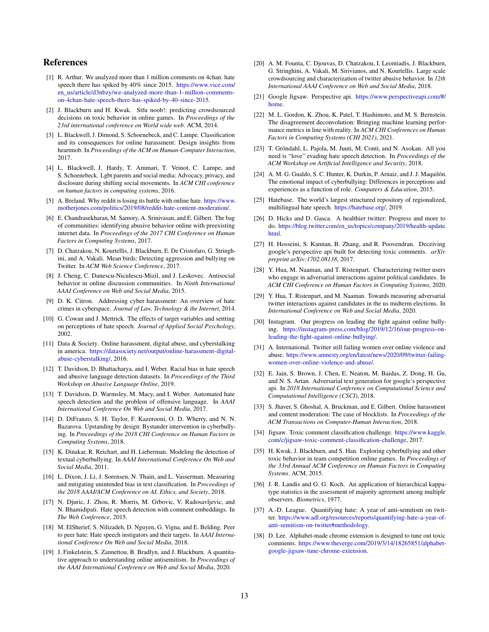# References

- <span id="page-12-28"></span>[1] R. Arthur. We analyzed more than 1 million comments on 4chan. hate speech there has spiked by 40% since 2015. [https://www.vice.com/](https://www.vice.com/en_us/article/d3nbzy/we-analyzed-more-than-1-million-comments-on-4chan-hate-speech-there-has-spiked-by-40-since-2015) [en\\_us/article/d3nbzy/we-analyzed-more-than-1-million-comments](https://www.vice.com/en_us/article/d3nbzy/we-analyzed-more-than-1-million-comments-on-4chan-hate-speech-there-has-spiked-by-40-since-2015)[on-4chan-hate-speech-there-has-spiked-by-40-since-2015.](https://www.vice.com/en_us/article/d3nbzy/we-analyzed-more-than-1-million-comments-on-4chan-hate-speech-there-has-spiked-by-40-since-2015)
- <span id="page-12-16"></span>[2] J. Blackburn and H. Kwak. Stfu noob!: predicting crowdsourced decisions on toxic behavior in online games. In *Proceedings of the 23rd international conference on World wide web*. ACM, 2014.
- <span id="page-12-25"></span>[3] L. Blackwell, J. Dimond, S. Schoenebeck, and C. Lampe. Classification and its consequences for online harassment: Design insights from heartmob. In *Proceedings of the ACM on Human-Computer Interaction*, 2017.
- <span id="page-12-12"></span>[4] L. Blackwell, J. Hardy, T. Ammari, T. Veinot, C. Lampe, and S. Schoenebeck. Lgbt parents and social media: Advocacy, privacy, and disclosure during shifting social movements. In *ACM CHI conference on human factors in computing systems*, 2016.
- <span id="page-12-29"></span>[5] A. Breland. Why reddit is losing its battle with online hate. [https://www.](https://www.motherjones.com/politics/2019/08/reddit-hate-content-moderation/) [motherjones.com/politics/2019/08/reddit-hate-content-moderation/.](https://www.motherjones.com/politics/2019/08/reddit-hate-content-moderation/)
- <span id="page-12-22"></span>[6] E. Chandrasekharan, M. Samory, A. Srinivasan, and E. Gilbert. The bag of communities: identifying abusive behavior online with preexisting internet data. In *Proceedings of the 2017 CHI Conference on Human Factors in Computing Systems*, 2017.
- <span id="page-12-17"></span>[7] D. Chatzakou, N. Kourtellis, J. Blackburn, E. De Cristofaro, G. Stringhini, and A. Vakali. Mean birds: Detecting aggression and bullying on Twitter. In *ACM Web Science Conference*, 2017.
- <span id="page-12-9"></span>[8] J. Cheng, C. Danescu-Niculescu-Mizil, and J. Leskovec. Antisocial behavior in online discussion communities. In *Ninth International AAAI Conference on Web and Social Media*, 2015.
- <span id="page-12-10"></span>[9] D. K. Citron. Addressing cyber harassment: An overview of hate crimes in cyberspace. *Journal of Law, Technology & the Internet*, 2014.
- <span id="page-12-11"></span>[10] G. Cowan and J. Mettrick. The effects of target variables and settting on perceptions of hate speech. *Journal of Applied Social Psychology*, 2002.
- <span id="page-12-4"></span>[11] Data & Society. Online harassment, digital abuse, and cyberstalking in america. [https://datasociety.net/output/online-harassment-digital](https://datasociety.net/output/online-harassment-digital-abuse-cyberstalking/)[abuse-cyberstalking/,](https://datasociety.net/output/online-harassment-digital-abuse-cyberstalking/) 2016.
- <span id="page-12-26"></span>[12] T. Davidson, D. Bhattacharya, and I. Weber. Racial bias in hate speech and abusive language detection datasets. In *Proceedings of the Third Workshop on Abusive Language Online*, 2019.
- <span id="page-12-18"></span>[13] T. Davidson, D. Warmsley, M. Macy, and I. Weber. Automated hate speech detection and the problem of offensive language. In *AAAI International Conference On Web and Social Media*, 2017.
- <span id="page-12-24"></span>[14] D. DiFranzo, S. H. Taylor, F. Kazerooni, O. D. Wherry, and N. N. Bazarova. Upstanding by design: Bystander intervention in cyberbullying. In *Proceedings of the 2018 CHI Conference on Human Factors in Computing Systems*, 2018.
- <span id="page-12-19"></span>[15] K. Dinakar, R. Reichart, and H. Lieberman. Modeling the detection of textual cyberbullying. In *AAAI International Conference On Web and Social Media*, 2011.
- <span id="page-12-15"></span>[16] L. Dixon, J. Li, J. Sorensen, N. Thain, and L. Vasserman. Measuring and mitigating unintended bias in text classification. In *Proceedings of the 2018 AAAI/ACM Conference on AI, Ethics, and Society*, 2018.
- <span id="page-12-20"></span>[17] N. Djuric, J. Zhou, R. Morris, M. Grbovic, V. Radosavljevic, and N. Bhamidipati. Hate speech detection with comment embeddings. In *The Web Conference*, 2015.
- <span id="page-12-35"></span>[18] M. ElSherief, S. Nilizadeh, D. Nguyen, G. Vigna, and E. Belding. Peer to peer hate: Hate speech instigators and their targets. In *AAAI International Conference On Web and Social Media*, 2018.
- <span id="page-12-6"></span>[19] J. Finkelstein, S. Zannettou, B. Bradlyn, and J. Blackburn. A quantitative approach to understanding online antisemitism. In *Proceedings of the AAAI International Conference on Web and Social Media*, 2020.
- <span id="page-12-21"></span>[20] A. M. Founta, C. Djouvas, D. Chatzakou, I. Leontiadis, J. Blackburn, G. Stringhini, A. Vakali, M. Sirivianos, and N. Kourtellis. Large scale crowdsourcing and characterization of twitter abusive behavior. In *12th International AAAI Conference on Web and Social Media*, 2018.
- <span id="page-12-5"></span>[21] Google Jigsaw. Perspective api. [https://www.perspectiveapi.com/#/](https://www.perspectiveapi.com/#/home) [home.](https://www.perspectiveapi.com/#/home)
- <span id="page-12-23"></span>[22] M. L. Gordon, K. Zhou, K. Patel, T. Hashimoto, and M. S. Bernstein. The disagreement deconvolution: Bringing machine learning performance metrics in line with reality. In *ACM CHI Conferences on Human Factors in Computing Systems (CHI 2021)*, 2021.
- <span id="page-12-32"></span>[23] T. Gröndahl, L. Pajola, M. Juuti, M. Conti, and N. Asokan. All you need is "love" evading hate speech detection. In *Proceedings of the ACM Workshop on Artificial Intelligence and Security*, 2018.
- <span id="page-12-3"></span>[24] A. M. G. Gualdo, S. C. Hunter, K. Durkin, P. Arnaiz, and J. J. Maquilón. The emotional impact of cyberbullying: Differences in perceptions and experiences as a function of role. *Computers & Education*, 2015.
- <span id="page-12-13"></span>[25] Hatebase. The world's largest structured repository of regionalized, multilingual hate speech. [https://hatebase.org/,](https://hatebase.org/) 2019.
- <span id="page-12-30"></span>[26] D. Hicks and D. Gasca. A healthier twitter: Progress and more to do. [https://blog.twitter.com/en\\_us/topics/company/2019/health-update.](https://blog.twitter.com/en_us/topics/company/2019/health-update.html) [html.](https://blog.twitter.com/en_us/topics/company/2019/health-update.html)
- <span id="page-12-33"></span>[27] H. Hosseini, S. Kannan, B. Zhang, and R. Poovendran. Deceiving google's perspective api built for detecting toxic comments. *arXiv preprint arXiv:1702.08138*, 2017.
- <span id="page-12-36"></span>[28] Y. Hua, M. Naaman, and T. Ristenpart. Characterizing twitter users who engage in adversarial interactions against political candidates. In *ACM CHI Conference on Human Factors in Computing Systems*, 2020.
- <span id="page-12-37"></span>[29] Y. Hua, T. Ristenpart, and M. Naaman. Towards measuring adversarial twitter interactions against candidates in the us midterm elections. In *International Conference on Web and Social Media*, 2020.
- <span id="page-12-1"></span>[30] Instagram. Our progress on leading the fight against online bullying. [https://instagram-press.com/blog/2019/12/16/our-progress-on](https://instagram-press.com/blog/2019/12/16/our-progress-on-leading-the-fight-against-online-bullying/)[leading-the-fight-against-online-bullying/.](https://instagram-press.com/blog/2019/12/16/our-progress-on-leading-the-fight-against-online-bullying/)
- <span id="page-12-2"></span>[31] A. International. Twitter still failing women over online violence and abuse. [https://www.amnesty.org/en/latest/news/2020/09/twitter-failing](https://www.amnesty.org/en/latest/news/2020/09/twitter-failing-women-over-online-violence-and-abuse/)[women-over-online-violence-and-abuse/.](https://www.amnesty.org/en/latest/news/2020/09/twitter-failing-women-over-online-violence-and-abuse/)
- <span id="page-12-27"></span>[32] E. Jain, S. Brown, J. Chen, E. Neaton, M. Baidas, Z. Dong, H. Gu, and N. S. Artan. Adversarial text generation for google's perspective api. In *2018 International Conference on Computational Science and Computational Intelligence (CSCI)*, 2018.
- <span id="page-12-14"></span>[33] S. Jhaver, S. Ghoshal, A. Bruckman, and E. Gilbert. Online harassment and content moderation: The case of blocklists. In *Proceedings of the ACM Transactions on Computer-Human Interaction*, 2018.
- <span id="page-12-0"></span>[34] Jigsaw. Toxic comment classification challenge. [https://www.kaggle.](https://www.kaggle.com/c/jigsaw-toxic-comment-classification-challenge) [com/c/jigsaw-toxic-comment-classification-challenge,](https://www.kaggle.com/c/jigsaw-toxic-comment-classification-challenge) 2017.
- <span id="page-12-8"></span>[35] H. Kwak, J. Blackburn, and S. Han. Exploring cyberbullying and other toxic behavior in team competition online games. In *Proceedings of the 33rd Annual ACM Conference on Human Factors in Computing Systems*. ACM, 2015.
- <span id="page-12-31"></span>[36] J. R. Landis and G. G. Koch. An application of hierarchical kappatype statistics in the assessment of majority agreement among multiple observers. *Biometrics*, 1977.
- <span id="page-12-7"></span>[37] A.-D. League. Quantifying hate: A year of anti-semitism on twitter. [https://www.adl.org/resources/reports/quantifying-hate-a-year-of](https://www.adl.org/resources/reports/quantifying-hate-a-year-of-anti-semitism-on-twitter#methodology)[anti-semitism-on-twitter#methodology.](https://www.adl.org/resources/reports/quantifying-hate-a-year-of-anti-semitism-on-twitter#methodology)
- <span id="page-12-34"></span>[38] D. Lee. Alphabet-made chrome extension is designed to tune out toxic comments. [https://www.theverge.com/2019/3/14/18265851/alphabet](https://www.theverge.com/2019/3/14/18265851/alphabet-google-jigsaw-tune-chrome-extension)[google-jigsaw-tune-chrome-extension.](https://www.theverge.com/2019/3/14/18265851/alphabet-google-jigsaw-tune-chrome-extension)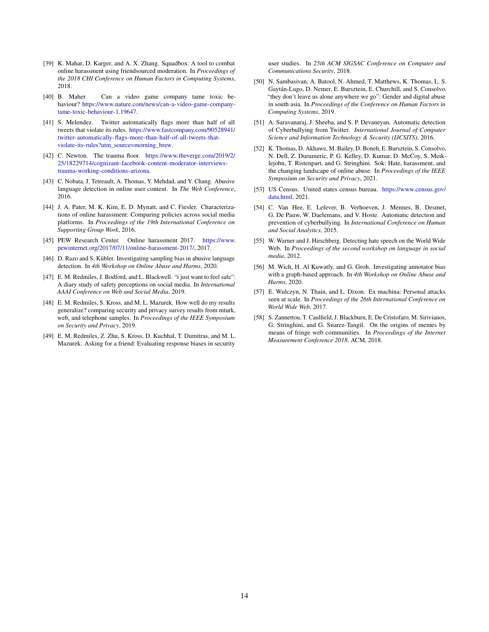- <span id="page-13-14"></span>[39] K. Mahar, D. Karger, and A. X. Zhang. Squadbox: A tool to combat online harassment using friendsourced moderation. In *Proceedings of the 2018 CHI Conference on Human Factors in Computing Systems*, 2018.
- <span id="page-13-13"></span>[40] B. Maher. Can a video game company tame toxic behaviour? [https://www.nature.com/news/can-a-video-game-company](https://www.nature.com/news/can-a-video-game-company-tame-toxic-behaviour-1.19647)[tame-toxic-behaviour-1.19647.](https://www.nature.com/news/can-a-video-game-company-tame-toxic-behaviour-1.19647)
- <span id="page-13-3"></span>[41] S. Melendez. Twitter automatically flags more than half of all tweets that violate its rules. [https://www.fastcompany.com/90528941/](https://www.fastcompany.com/90528941/twitter-automatically-flags-more-than-half-of-all-tweets-that-violate-its-rules?utm_source=morning_brew) [twitter-automatically-flags-more-than-half-of-all-tweets-that](https://www.fastcompany.com/90528941/twitter-automatically-flags-more-than-half-of-all-tweets-that-violate-its-rules?utm_source=morning_brew)[violate-its-rules?utm\\_source=morning\\_brew.](https://www.fastcompany.com/90528941/twitter-automatically-flags-more-than-half-of-all-tweets-that-violate-its-rules?utm_source=morning_brew)
- <span id="page-13-15"></span>[42] C. Newton. The trauma floor. [https://www.theverge.com/2019/2/](https://www.theverge.com/2019/2/25/18229714/cognizant-facebook-content-moderator-interviews-trauma-working-conditions-arizona) [25/18229714/cognizant-facebook-content-moderator-interviews](https://www.theverge.com/2019/2/25/18229714/cognizant-facebook-content-moderator-interviews-trauma-working-conditions-arizona)[trauma-working-conditions-arizona.](https://www.theverge.com/2019/2/25/18229714/cognizant-facebook-content-moderator-interviews-trauma-working-conditions-arizona)
- <span id="page-13-1"></span>[43] C. Nobata, J. Tetreault, A. Thomas, Y. Mehdad, and Y. Chang. Abusive language detection in online user content. In *The Web Conference*, 2016.
- <span id="page-13-16"></span>[44] J. A. Pater, M. K. Kim, E. D. Mynatt, and C. Fiesler. Characterizations of online harassment: Comparing policies across social media platforms. In *Proceedings of the 19th International Conference on Supporting Group Work*, 2016.
- <span id="page-13-5"></span>[45] PEW Research Center. Online harassment 2017. [https://www.](https://www.pewinternet.org/2017/07/11/online-harassment-2017/) [pewinternet.org/2017/07/11/online-harassment-2017/,](https://www.pewinternet.org/2017/07/11/online-harassment-2017/) 2017.
- <span id="page-13-11"></span>[46] D. Razo and S. Kübler. Investigating sampling bias in abusive language detection. In *4th Workshop on Online Abuse and Harms*, 2020.
- <span id="page-13-7"></span>[47] E. M. Redmiles, J. Bodford, and L. Blackwell. "i just want to feel safe": A diary study of safety perceptions on social media. In *International AAAI Conference on Web and Social Media*, 2019.
- <span id="page-13-17"></span>[48] E. M. Redmiles, S. Kross, and M. L. Mazurek. How well do my results generalize? comparing security and privacy survey results from mturk, web, and telephone samples. In *Proceedings of the IEEE Symposium on Security and Privacy*, 2019.
- <span id="page-13-18"></span>[49] E. M. Redmiles, Z. Zhu, S. Kross, D. Kuchhal, T. Dumitras, and M. L. Mazurek. Asking for a friend: Evaluating response biases in security

user studies. In *25th ACM SIGSAC Conference on Computer and Communications Security*, 2018.

- <span id="page-13-4"></span>[50] N. Sambasivan, A. Batool, N. Ahmed, T. Matthews, K. Thomas, L. S. Gaytán-Lugo, D. Nemer, E. Bursztein, E. Churchill, and S. Consolvo. "they don't leave us alone anywhere we go": Gender and digital abuse in south asia. In *Proceedings of the Conference on Human Factors in Computing Systems*, 2019.
- <span id="page-13-9"></span>[51] A. Saravanaraj, J. Sheeba, and S. P. Devaneyan. Automatic detection of Cyberbullying from Twitter. *International Journal of Computer Science and Information Technology & Security (IJCSITS)*, 2016.
- <span id="page-13-0"></span>[52] K. Thomas, D. Akhawe, M. Bailey, D. Boneh, E. Bursztein, S. Consolvo, N. Dell, Z. Durumeric, P. G. Kelley, D. Kumar, D. McCoy, S. Meiklejohn, T. Ristenpart, and G. Stringhini. Sok: Hate, harassment, and the changing landscape of online abuse. In *Proceedings of the IEEE Symposium on Security and Privacy*, 2021.
- <span id="page-13-19"></span>[53] US Census. United states census bureau. [https://www.census.gov/](https://www.census.gov/data.html) [data.html,](https://www.census.gov/data.html) 2021.
- <span id="page-13-10"></span>[54] C. Van Hee, E. Lefever, B. Verhoeven, J. Mennes, B. Desmet, G. De Pauw, W. Daelemans, and V. Hoste. Automatic detection and prevention of cyberbullying. In *International Conference on Human and Social Analytics*, 2015.
- <span id="page-13-6"></span>[55] W. Warner and J. Hirschberg. Detecting hate speech on the World Wide Web. In *Proceedings of the second workshop on language in social media*, 2012.
- <span id="page-13-12"></span>[56] M. Wich, H. Al Kuwatly, and G. Groh. Investigating annotator bias with a graph-based approach. In *4th Workshop on Online Abuse and Harms*, 2020.
- <span id="page-13-2"></span>[57] E. Wulczyn, N. Thain, and L. Dixon. Ex machina: Personal attacks seen at scale. In *Proceedings of the 26th International Conference on World Wide Web*, 2017.
- <span id="page-13-8"></span>[58] S. Zannettou, T. Caulfield, J. Blackburn, E. De Cristofaro, M. Sirivianos, G. Stringhini, and G. Suarez-Tangil. On the origins of memes by means of fringe web communities. In *Proceedings of the Internet Measurement Conference 2018*. ACM, 2018.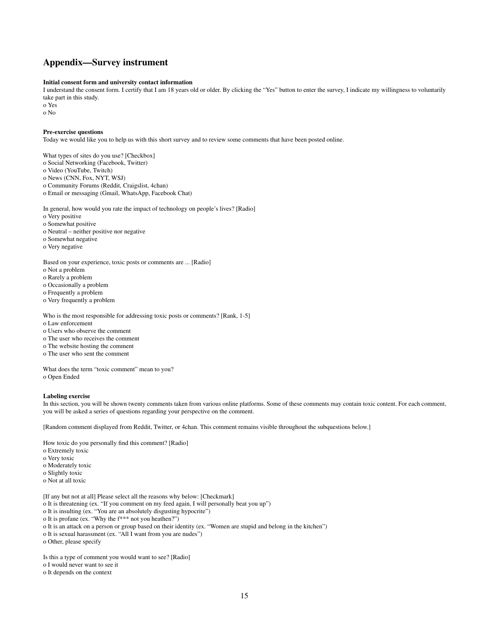# Appendix—Survey instrument

#### Initial consent form and university contact information

I understand the consent form. I certify that I am 18 years old or older. By clicking the "Yes" button to enter the survey, I indicate my willingness to voluntarily take part in this study.

o Yes o No

#### Pre-exercise questions

Today we would like you to help us with this short survey and to review some comments that have been posted online.

What types of sites do you use? [Checkbox] o Social Networking (Facebook, Twitter) o Video (YouTube, Twitch) o News (CNN, Fox, NYT, WSJ) o Community Forums (Reddit, Craigslist, 4chan) o Email or messaging (Gmail, WhatsApp, Facebook Chat) In general, how would you rate the impact of technology on people's lives? [Radio]

o Very positive

o Somewhat positive

o Neutral – neither positive nor negative o Somewhat negative

o Very negative

Based on your experience, toxic posts or comments are ... [Radio]

o Not a problem

o Rarely a problem

o Occasionally a problem

o Frequently a problem o Very frequently a problem

Who is the most responsible for addressing toxic posts or comments? [Rank, 1-5]

o Law enforcement

o Users who observe the comment

o The user who receives the comment

o The website hosting the comment

o The user who sent the comment

What does the term "toxic comment" mean to you? o Open Ended

#### Labeling exercise

In this section, you will be shown twenty comments taken from various online platforms. Some of these comments may contain toxic content. For each comment, you will be asked a series of questions regarding your perspective on the comment.

[Random comment displayed from Reddit, Twitter, or 4chan. This comment remains visible throughout the subquestions below.]

How toxic do you personally find this comment? [Radio] o Extremely toxic o Very toxic o Moderately toxic o Slightly toxic o Not at all toxic

[If any but not at all] Please select all the reasons why below: [Checkmark]

o It is threatening (ex. "If you comment on my feed again, I will personally beat you up")

o It is insulting (ex. "You are an absolutely disgusting hypocrite")

o It is profane (ex. "Why the f\*\*\* not you heathen?")

o It is an attack on a person or group based on their identity (ex. "Women are stupid and belong in the kitchen")

o It is sexual harassment (ex. "All I want from you are nudes")

o Other, please specify

Is this a type of comment you would want to see? [Radio]

o I would never want to see it

o It depends on the context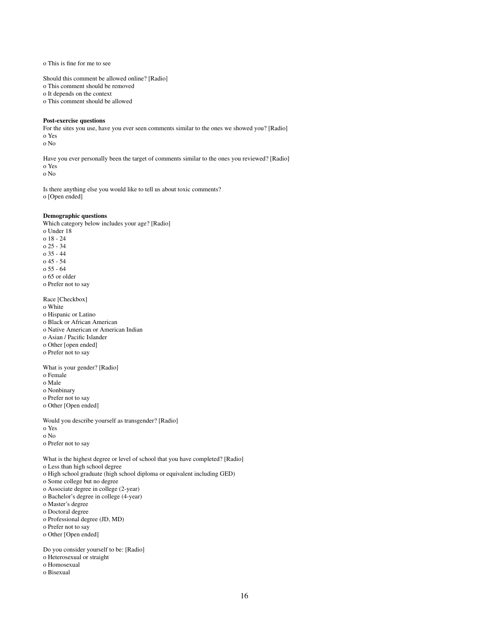o This is fine for me to see

Should this comment be allowed online? [Radio] o This comment should be removed o It depends on the context o This comment should be allowed

Post-exercise questions

For the sites you use, have you ever seen comments similar to the ones we showed you? [Radio] o Yes o No

Have you ever personally been the target of comments similar to the ones you reviewed? [Radio] o Yes o No

Is there anything else you would like to tell us about toxic comments? o [Open ended]

#### Demographic questions

Which category below includes your age? [Radio] o Under 18 o 18 - 24 o 25 - 34 o 35 - 44 o 45 - 54 o 55 - 64 o 65 or older o Prefer not to say Race [Checkbox]

o White o Hispanic or Latino o Black or African American o Native American or American Indian o Asian / Pacific Islander o Other [open ended] o Prefer not to say What is your gender? [Radio] o Female o Male o Nonbinary o Prefer not to say o Other [Open ended]

Would you describe yourself as transgender? [Radio] o Yes o No o Prefer not to say

What is the highest degree or level of school that you have completed? [Radio] o Less than high school degree o High school graduate (high school diploma or equivalent including GED) o Some college but no degree o Associate degree in college (2-year) o Bachelor's degree in college (4-year) o Master's degree o Doctoral degree o Professional degree (JD, MD) o Prefer not to say o Other [Open ended] Do you consider yourself to be: [Radio] o Heterosexual or straight

- o Homosexual
- o Bisexual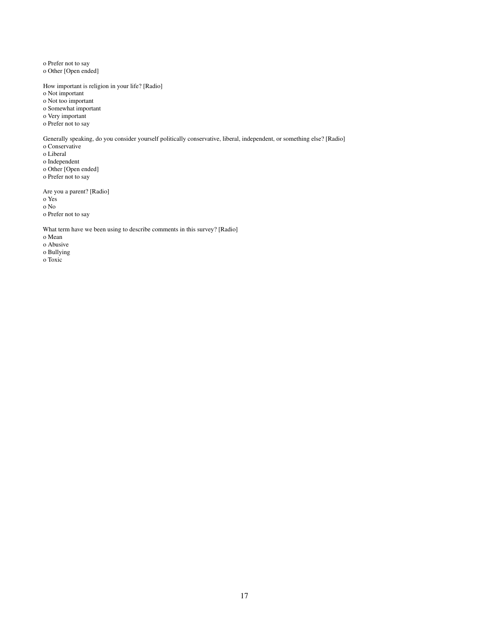o Prefer not to say o Other [Open ended]

How important is religion in your life? [Radio] o Not important o Not too important o Somewhat important o Very important o Prefer not to say

Generally speaking, do you consider yourself politically conservative, liberal, independent, or something else? [Radio] o Conservative o Liberal o Independent o Other [Open ended] o Prefer not to say

Are you a parent? [Radio] o Yes o No o Prefer not to say

What term have we been using to describe comments in this survey? [Radio] o Mean o Abusive o Bullying o Toxic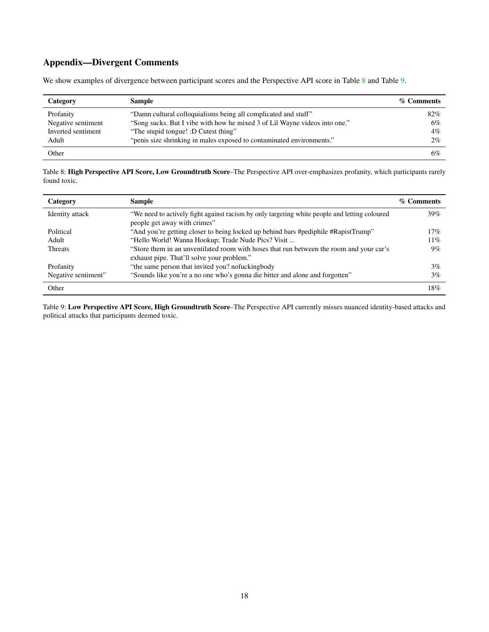# Appendix—Divergent Comments

We show examples of divergence between participant scores and the Perspective API score in Table [8](#page-17-0) and Table [9.](#page-17-0)

<span id="page-17-0"></span>

| Category           | <b>Sample</b>                                                              | % Comments |
|--------------------|----------------------------------------------------------------------------|------------|
| Profanity          | "Damn cultural colloquialisms being all complicated and stuff"             | 82%        |
| Negative sentiment | "Song sucks. But I vibe with how he mixed 3 of Lil Wayne videos into one." | 6%         |
| Inverted sentiment | "The stupid tongue! :D Cutest thing"                                       | $4\%$      |
| Adult              | "penis size shrinking in males exposed to contaminated environments."      | $2\%$      |
| Other              |                                                                            | 6%         |

Table 8: High Perspective API Score, Low Groundtruth Score–The Perspective API over-emphasizes profanity, which participants rarely found toxic.

| Category            | <b>Sample</b>                                                                                                                         | % Comments |
|---------------------|---------------------------------------------------------------------------------------------------------------------------------------|------------|
| Identity attack     | "We need to actively fight against racism by only targeting white people and letting coloured<br>people get away with crimes"         | 39%        |
| Political           | "And you're getting closer to being locked up behind bars #pediphile #RapistTrump"                                                    | 17%        |
| Adult               | "Hello World! Wanna Hookup; Trade Nude Pics? Visit                                                                                    | 11%        |
| <b>Threats</b>      | "Store them in an unventilated room with hoses that run between the room and your car's<br>exhaust pipe. That'll solve your problem." | $9\%$      |
| Profanity           | "the same person that invited you? nofuckingbody                                                                                      | $3\%$      |
| Negative sentiment" | "Sounds like you're a no one who's gonna die bitter and alone and forgotten"                                                          | $3\%$      |
| Other               |                                                                                                                                       | 18%        |

Table 9: Low Perspective API Score, High Groundtruth Score–The Perspective API currently misses nuanced identity-based attacks and political attacks that participants deemed toxic.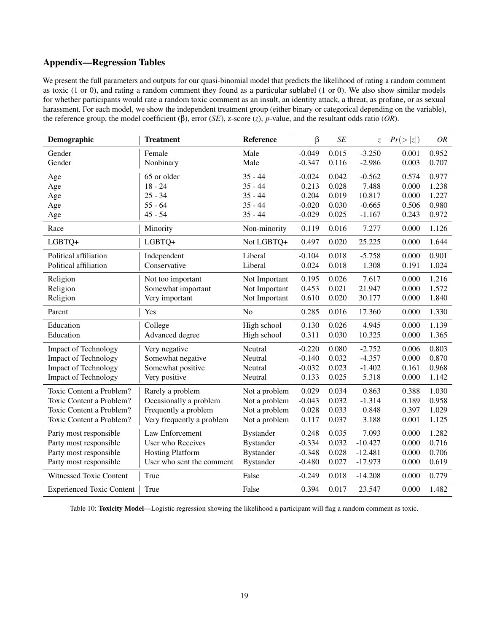# Appendix—Regression Tables

We present the full parameters and outputs for our quasi-binomial model that predicts the likelihood of rating a random comment as toxic (1 or 0), and rating a random comment they found as a particular sublabel (1 or 0). We also show similar models for whether participants would rate a random toxic comment as an insult, an identity attack, a threat, as profane, or as sexual harassment. For each model, we show the independent treatment group (either binary or categorical depending on the variable), the reference group, the model coefficient (β), error (*SE*), z-score (*z*), *p*-value, and the resultant odds ratio (*OR*).

| Demographic                      | <b>Treatment</b>          | Reference        | β        | $\cal SE$ | $\overline{z}$ | Pr(> z ) | <b>OR</b> |
|----------------------------------|---------------------------|------------------|----------|-----------|----------------|----------|-----------|
| Gender                           | Female                    | Male             | $-0.049$ | 0.015     | $-3.250$       | 0.001    | 0.952     |
| Gender                           | Nonbinary                 | Male             | $-0.347$ | 0.116     | $-2.986$       | 0.003    | 0.707     |
| Age                              | 65 or older               | $35 - 44$        | $-0.024$ | 0.042     | $-0.562$       | 0.574    | 0.977     |
| Age                              | $18 - 24$                 | $35 - 44$        | 0.213    | 0.028     | 7.488          | 0.000    | 1.238     |
| Age                              | $25 - 34$                 | $35 - 44$        | 0.204    | 0.019     | 10.817         | 0.000    | 1.227     |
| Age                              | $55 - 64$                 | $35 - 44$        | $-0.020$ | 0.030     | $-0.665$       | 0.506    | 0.980     |
| Age                              | $45 - 54$                 | $35 - 44$        | $-0.029$ | 0.025     | $-1.167$       | 0.243    | 0.972     |
| Race                             | Minority                  | Non-minority     | 0.119    | 0.016     | 7.277          | 0.000    | 1.126     |
| LGBTQ+                           | LGBTQ+                    | Not LGBTQ+       | 0.497    | 0.020     | 25.225         | 0.000    | 1.644     |
| Political affiliation            | Independent               | Liberal          | $-0.104$ | 0.018     | $-5.758$       | 0.000    | 0.901     |
| Political affiliation            | Conservative              | Liberal          | 0.024    | 0.018     | 1.308          | 0.191    | 1.024     |
| Religion                         | Not too important         | Not Important    | 0.195    | 0.026     | 7.617          | 0.000    | 1.216     |
| Religion                         | Somewhat important        | Not Important    | 0.453    | 0.021     | 21.947         | 0.000    | 1.572     |
| Religion                         | Very important            | Not Important    | 0.610    | 0.020     | 30.177         | 0.000    | 1.840     |
| Parent                           | Yes                       | N <sub>o</sub>   | 0.285    | 0.016     | 17.360         | 0.000    | 1.330     |
| Education                        | College                   | High school      | 0.130    | 0.026     | 4.945          | 0.000    | 1.139     |
| Education                        | Advanced degree           | High school      | 0.311    | 0.030     | 10.325         | 0.000    | 1.365     |
| <b>Impact of Technology</b>      | Very negative             | Neutral          | $-0.220$ | 0.080     | $-2.752$       | 0.006    | 0.803     |
| <b>Impact of Technology</b>      | Somewhat negative         | Neutral          | $-0.140$ | 0.032     | $-4.357$       | 0.000    | 0.870     |
| Impact of Technology             | Somewhat positive         | Neutral          | $-0.032$ | 0.023     | $-1.402$       | 0.161    | 0.968     |
| <b>Impact of Technology</b>      | Very positive             | Neutral          | 0.133    | 0.025     | 5.318          | 0.000    | 1.142     |
| Toxic Content a Problem?         | Rarely a problem          | Not a problem    | 0.029    | 0.034     | 0.863          | 0.388    | 1.030     |
| Toxic Content a Problem?         | Occasionally a problem    | Not a problem    | $-0.043$ | 0.032     | $-1.314$       | 0.189    | 0.958     |
| Toxic Content a Problem?         | Frequently a problem      | Not a problem    | 0.028    | 0.033     | 0.848          | 0.397    | 1.029     |
| Toxic Content a Problem?         | Very frequently a problem | Not a problem    | 0.117    | 0.037     | 3.188          | 0.001    | 1.125     |
| Party most responsible           | Law Enforcement           | <b>Bystander</b> | 0.248    | 0.035     | 7.093          | 0.000    | 1.282     |
| Party most responsible           | User who Receives         | <b>Bystander</b> | $-0.334$ | 0.032     | $-10.427$      | 0.000    | 0.716     |
| Party most responsible           | <b>Hosting Platform</b>   | <b>Bystander</b> | $-0.348$ | 0.028     | $-12.481$      | 0.000    | 0.706     |
| Party most responsible           | User who sent the comment | <b>Bystander</b> | $-0.480$ | 0.027     | $-17.973$      | 0.000    | 0.619     |
| Witnessed Toxic Content          | True                      | False            | $-0.249$ | 0.018     | $-14.208$      | 0.000    | 0.779     |
| <b>Experienced Toxic Content</b> | True                      | False            | 0.394    | 0.017     | 23.547         | 0.000    | 1.482     |

Table 10: Toxicity Model—Logistic regression showing the likelihood a participant will flag a random comment as toxic.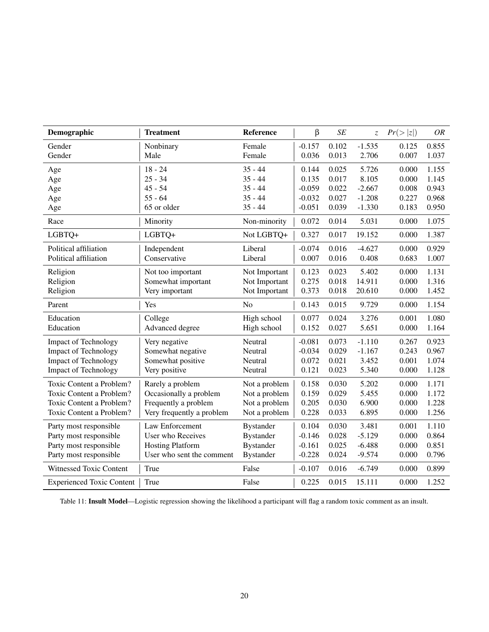| Demographic                      | <b>Treatment</b>          | Reference        | β        | $\cal SE$ | $\overline{z}$ | Pr(> z ) | <b>OR</b> |
|----------------------------------|---------------------------|------------------|----------|-----------|----------------|----------|-----------|
| Gender                           | Nonbinary                 | Female           | $-0.157$ | 0.102     | $-1.535$       | 0.125    | 0.855     |
| Gender                           | Male                      | Female           | 0.036    | 0.013     | 2.706          | 0.007    | 1.037     |
| Age                              | $18 - 24$                 | $35 - 44$        | 0.144    | 0.025     | 5.726          | 0.000    | 1.155     |
| Age                              | $25 - 34$                 | $35 - 44$        | 0.135    | 0.017     | 8.105          | 0.000    | 1.145     |
| Age                              | $45 - 54$                 | $35 - 44$        | $-0.059$ | 0.022     | $-2.667$       | 0.008    | 0.943     |
| Age                              | $55 - 64$                 | $35 - 44$        | $-0.032$ | 0.027     | $-1.208$       | 0.227    | 0.968     |
| Age                              | 65 or older               | $35 - 44$        | $-0.051$ | 0.039     | $-1.330$       | 0.183    | 0.950     |
| Race                             | Minority                  | Non-minority     | 0.072    | 0.014     | 5.031          | 0.000    | 1.075     |
| LGBTQ+                           | LGBTQ+                    | Not LGBTQ+       | 0.327    | 0.017     | 19.152         | 0.000    | 1.387     |
| Political affiliation            | Independent               | Liberal          | $-0.074$ | 0.016     | $-4.627$       | 0.000    | 0.929     |
| Political affiliation            | Conservative              | Liberal          | 0.007    | 0.016     | 0.408          | 0.683    | 1.007     |
| Religion                         | Not too important         | Not Important    | 0.123    | 0.023     | 5.402          | 0.000    | 1.131     |
| Religion                         | Somewhat important        | Not Important    | 0.275    | 0.018     | 14.911         | 0.000    | 1.316     |
| Religion                         | Very important            | Not Important    | 0.373    | 0.018     | 20.610         | 0.000    | 1.452     |
| Parent                           | Yes                       | N <sub>o</sub>   | 0.143    | 0.015     | 9.729          | 0.000    | 1.154     |
| Education                        | College                   | High school      | 0.077    | 0.024     | 3.276          | 0.001    | 1.080     |
| Education                        | Advanced degree           | High school      | 0.152    | 0.027     | 5.651          | 0.000    | 1.164     |
| <b>Impact of Technology</b>      | Very negative             | Neutral          | $-0.081$ | 0.073     | $-1.110$       | 0.267    | 0.923     |
| <b>Impact of Technology</b>      | Somewhat negative         | Neutral          | $-0.034$ | 0.029     | $-1.167$       | 0.243    | 0.967     |
| Impact of Technology             | Somewhat positive         | Neutral          | 0.072    | 0.021     | 3.452          | 0.001    | 1.074     |
| Impact of Technology             | Very positive             | Neutral          | 0.121    | 0.023     | 5.340          | 0.000    | 1.128     |
| Toxic Content a Problem?         | Rarely a problem          | Not a problem    | 0.158    | 0.030     | 5.202          | 0.000    | 1.171     |
| Toxic Content a Problem?         | Occasionally a problem    | Not a problem    | 0.159    | 0.029     | 5.455          | 0.000    | 1.172     |
| Toxic Content a Problem?         | Frequently a problem      | Not a problem    | 0.205    | 0.030     | 6.900          | 0.000    | 1.228     |
| Toxic Content a Problem?         | Very frequently a problem | Not a problem    | 0.228    | 0.033     | 6.895          | 0.000    | 1.256     |
| Party most responsible           | Law Enforcement           | <b>Bystander</b> | 0.104    | 0.030     | 3.481          | 0.001    | 1.110     |
| Party most responsible           | User who Receives         | <b>Bystander</b> | $-0.146$ | 0.028     | $-5.129$       | 0.000    | 0.864     |
| Party most responsible           | <b>Hosting Platform</b>   | <b>Bystander</b> | $-0.161$ | 0.025     | $-6.488$       | 0.000    | 0.851     |
| Party most responsible           | User who sent the comment | <b>Bystander</b> | $-0.228$ | 0.024     | $-9.574$       | 0.000    | 0.796     |
| Witnessed Toxic Content          | True                      | False            | $-0.107$ | 0.016     | $-6.749$       | 0.000    | 0.899     |
| <b>Experienced Toxic Content</b> | True                      | False            | 0.225    | 0.015     | 15.111         | 0.000    | 1.252     |

Table 11: Insult Model—Logistic regression showing the likelihood a participant will flag a random toxic comment as an insult.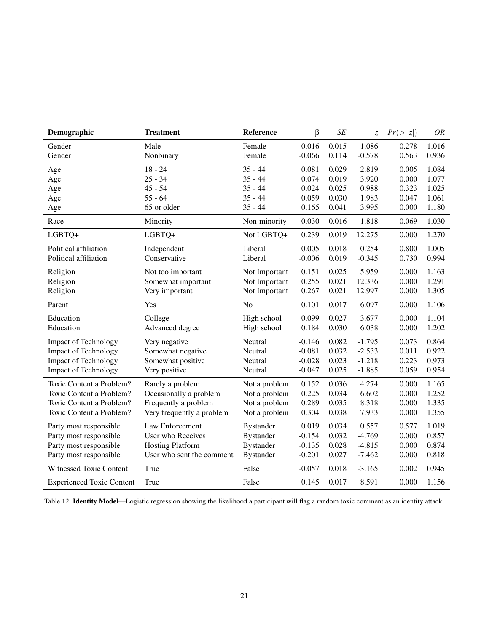| Demographic                      | <b>Treatment</b>          | Reference        | $\beta$  | $\cal SE$ | $\overline{z}$ | Pr(> z ) | OR    |
|----------------------------------|---------------------------|------------------|----------|-----------|----------------|----------|-------|
| Gender                           | Male                      | Female           | 0.016    | 0.015     | 1.086          | 0.278    | 1.016 |
| Gender                           | Nonbinary                 | Female           | $-0.066$ | 0.114     | $-0.578$       | 0.563    | 0.936 |
| Age                              | $18 - 24$                 | $35 - 44$        | 0.081    | 0.029     | 2.819          | 0.005    | 1.084 |
| Age                              | $25 - 34$                 | $35 - 44$        | 0.074    | 0.019     | 3.920          | 0.000    | 1.077 |
| Age                              | $45 - 54$                 | $35 - 44$        | 0.024    | 0.025     | 0.988          | 0.323    | 1.025 |
| Age                              | $55 - 64$                 | $35 - 44$        | 0.059    | 0.030     | 1.983          | 0.047    | 1.061 |
| Age                              | 65 or older               | $35 - 44$        | 0.165    | 0.041     | 3.995          | 0.000    | 1.180 |
| Race                             | Minority                  | Non-minority     | 0.030    | 0.016     | 1.818          | 0.069    | 1.030 |
| LGBTQ+                           | LGBTQ+                    | Not LGBTQ+       | 0.239    | 0.019     | 12.275         | 0.000    | 1.270 |
| Political affiliation            | Independent               | Liberal          | 0.005    | 0.018     | 0.254          | 0.800    | 1.005 |
| Political affiliation            | Conservative              | Liberal          | $-0.006$ | 0.019     | $-0.345$       | 0.730    | 0.994 |
| Religion                         | Not too important         | Not Important    | 0.151    | 0.025     | 5.959          | 0.000    | 1.163 |
| Religion                         | Somewhat important        | Not Important    | 0.255    | 0.021     | 12.336         | 0.000    | 1.291 |
| Religion                         | Very important            | Not Important    | 0.267    | 0.021     | 12.997         | 0.000    | 1.305 |
| Parent                           | Yes                       | N <sub>o</sub>   | 0.101    | 0.017     | 6.097          | 0.000    | 1.106 |
| Education                        | College                   | High school      | 0.099    | 0.027     | 3.677          | 0.000    | 1.104 |
| Education                        | Advanced degree           | High school      | 0.184    | 0.030     | 6.038          | 0.000    | 1.202 |
| Impact of Technology             | Very negative             | Neutral          | $-0.146$ | 0.082     | $-1.795$       | 0.073    | 0.864 |
| Impact of Technology             | Somewhat negative         | Neutral          | $-0.081$ | 0.032     | $-2.533$       | 0.011    | 0.922 |
| <b>Impact of Technology</b>      | Somewhat positive         | Neutral          | $-0.028$ | 0.023     | $-1.218$       | 0.223    | 0.973 |
| <b>Impact of Technology</b>      | Very positive             | Neutral          | $-0.047$ | 0.025     | $-1.885$       | 0.059    | 0.954 |
| Toxic Content a Problem?         | Rarely a problem          | Not a problem    | 0.152    | 0.036     | 4.274          | 0.000    | 1.165 |
| Toxic Content a Problem?         | Occasionally a problem    | Not a problem    | 0.225    | 0.034     | 6.602          | 0.000    | 1.252 |
| Toxic Content a Problem?         | Frequently a problem      | Not a problem    | 0.289    | 0.035     | 8.318          | 0.000    | 1.335 |
| Toxic Content a Problem?         | Very frequently a problem | Not a problem    | 0.304    | 0.038     | 7.933          | 0.000    | 1.355 |
| Party most responsible           | Law Enforcement           | <b>Bystander</b> | 0.019    | 0.034     | 0.557          | 0.577    | 1.019 |
| Party most responsible           | User who Receives         | <b>Bystander</b> | $-0.154$ | 0.032     | $-4.769$       | 0.000    | 0.857 |
| Party most responsible           | <b>Hosting Platform</b>   | <b>Bystander</b> | $-0.135$ | 0.028     | $-4.815$       | 0.000    | 0.874 |
| Party most responsible           | User who sent the comment | <b>Bystander</b> | $-0.201$ | 0.027     | $-7.462$       | 0.000    | 0.818 |
| Witnessed Toxic Content          | True                      | False            | $-0.057$ | 0.018     | $-3.165$       | 0.002    | 0.945 |
| <b>Experienced Toxic Content</b> | True                      | False            | 0.145    | 0.017     | 8.591          | 0.000    | 1.156 |

Table 12: Identity Model—Logistic regression showing the likelihood a participant will flag a random toxic comment as an identity attack.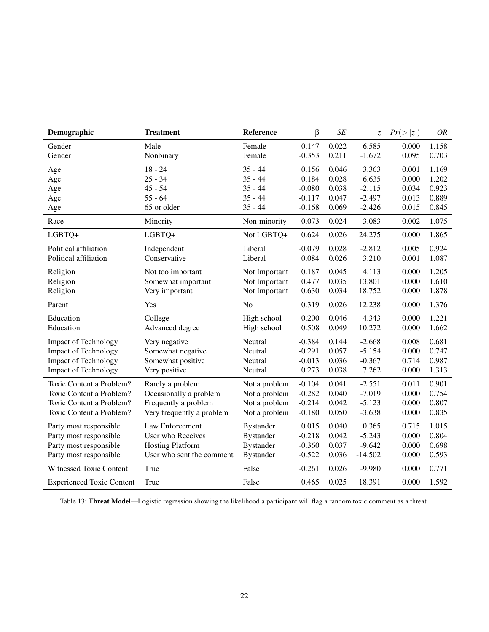| Demographic                      | <b>Treatment</b>          | Reference        | $\beta$  | SE    | $\overline{z}$ | Pr(> z ) | <b>OR</b> |
|----------------------------------|---------------------------|------------------|----------|-------|----------------|----------|-----------|
| Gender                           | Male                      | Female           | 0.147    | 0.022 | 6.585          | 0.000    | 1.158     |
| Gender                           | Nonbinary                 | Female           | $-0.353$ | 0.211 | $-1.672$       | 0.095    | 0.703     |
| Age                              | $18 - 24$                 | $35 - 44$        | 0.156    | 0.046 | 3.363          | 0.001    | 1.169     |
| Age                              | $25 - 34$                 | $35 - 44$        | 0.184    | 0.028 | 6.635          | 0.000    | 1.202     |
| Age                              | $45 - 54$                 | $35 - 44$        | $-0.080$ | 0.038 | $-2.115$       | 0.034    | 0.923     |
| Age                              | $55 - 64$                 | $35 - 44$        | $-0.117$ | 0.047 | $-2.497$       | 0.013    | 0.889     |
| Age                              | 65 or older               | $35 - 44$        | $-0.168$ | 0.069 | $-2.426$       | 0.015    | 0.845     |
| Race                             | Minority                  | Non-minority     | 0.073    | 0.024 | 3.083          | 0.002    | 1.075     |
| LGBTQ+                           | LGBTQ+                    | Not LGBTQ+       | 0.624    | 0.026 | 24.275         | 0.000    | 1.865     |
| Political affiliation            | Independent               | Liberal          | $-0.079$ | 0.028 | $-2.812$       | 0.005    | 0.924     |
| Political affiliation            | Conservative              | Liberal          | 0.084    | 0.026 | 3.210          | 0.001    | 1.087     |
| Religion                         | Not too important         | Not Important    | 0.187    | 0.045 | 4.113          | 0.000    | 1.205     |
| Religion                         | Somewhat important        | Not Important    | 0.477    | 0.035 | 13.801         | 0.000    | 1.610     |
| Religion                         | Very important            | Not Important    | 0.630    | 0.034 | 18.752         | 0.000    | 1.878     |
| Parent                           | Yes                       | No               | 0.319    | 0.026 | 12.238         | 0.000    | 1.376     |
| Education                        | College                   | High school      | 0.200    | 0.046 | 4.343          | 0.000    | 1.221     |
| Education                        | Advanced degree           | High school      | 0.508    | 0.049 | 10.272         | 0.000    | 1.662     |
| <b>Impact of Technology</b>      | Very negative             | Neutral          | $-0.384$ | 0.144 | $-2.668$       | 0.008    | 0.681     |
| Impact of Technology             | Somewhat negative         | Neutral          | $-0.291$ | 0.057 | $-5.154$       | 0.000    | 0.747     |
| <b>Impact of Technology</b>      | Somewhat positive         | Neutral          | $-0.013$ | 0.036 | $-0.367$       | 0.714    | 0.987     |
| <b>Impact of Technology</b>      | Very positive             | Neutral          | 0.273    | 0.038 | 7.262          | 0.000    | 1.313     |
| Toxic Content a Problem?         | Rarely a problem          | Not a problem    | $-0.104$ | 0.041 | $-2.551$       | 0.011    | 0.901     |
| Toxic Content a Problem?         | Occasionally a problem    | Not a problem    | $-0.282$ | 0.040 | $-7.019$       | 0.000    | 0.754     |
| Toxic Content a Problem?         | Frequently a problem      | Not a problem    | $-0.214$ | 0.042 | $-5.123$       | 0.000    | 0.807     |
| Toxic Content a Problem?         | Very frequently a problem | Not a problem    | $-0.180$ | 0.050 | $-3.638$       | 0.000    | 0.835     |
| Party most responsible           | Law Enforcement           | <b>Bystander</b> | 0.015    | 0.040 | 0.365          | 0.715    | 1.015     |
| Party most responsible           | User who Receives         | <b>Bystander</b> | $-0.218$ | 0.042 | $-5.243$       | 0.000    | 0.804     |
| Party most responsible           | <b>Hosting Platform</b>   | <b>Bystander</b> | $-0.360$ | 0.037 | $-9.642$       | 0.000    | 0.698     |
| Party most responsible           | User who sent the comment | <b>Bystander</b> | $-0.522$ | 0.036 | $-14.502$      | 0.000    | 0.593     |
| <b>Witnessed Toxic Content</b>   | True                      | False            | $-0.261$ | 0.026 | $-9.980$       | 0.000    | 0.771     |
| <b>Experienced Toxic Content</b> | True                      | False            | 0.465    | 0.025 | 18.391         | 0.000    | 1.592     |

Table 13: Threat Model—Logistic regression showing the likelihood a participant will flag a random toxic comment as a threat.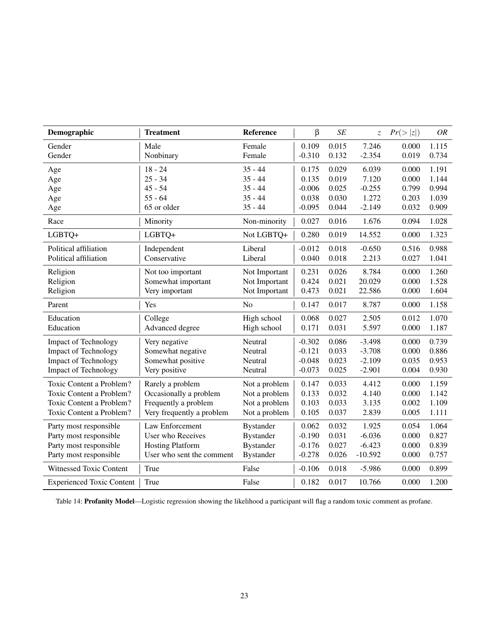| Demographic                      | <b>Treatment</b>          | Reference        | $\beta$  | SE    | $\overline{z}$ | Pr(> z ) | <b>OR</b> |
|----------------------------------|---------------------------|------------------|----------|-------|----------------|----------|-----------|
| Gender                           | Male                      | Female           | 0.109    | 0.015 | 7.246          | 0.000    | 1.115     |
| Gender                           | Nonbinary                 | Female           | $-0.310$ | 0.132 | $-2.354$       | 0.019    | 0.734     |
| Age                              | $18 - 24$                 | $35 - 44$        | 0.175    | 0.029 | 6.039          | 0.000    | 1.191     |
| Age                              | $25 - 34$                 | $35 - 44$        | 0.135    | 0.019 | 7.120          | 0.000    | 1.144     |
| Age                              | $45 - 54$                 | $35 - 44$        | $-0.006$ | 0.025 | $-0.255$       | 0.799    | 0.994     |
| Age                              | $55 - 64$                 | $35 - 44$        | 0.038    | 0.030 | 1.272          | 0.203    | 1.039     |
| Age                              | 65 or older               | $35 - 44$        | $-0.095$ | 0.044 | $-2.149$       | 0.032    | 0.909     |
| Race                             | Minority                  | Non-minority     | 0.027    | 0.016 | 1.676          | 0.094    | 1.028     |
| LGBTQ+                           | LGBTQ+                    | Not LGBTQ+       | 0.280    | 0.019 | 14.552         | 0.000    | 1.323     |
| Political affiliation            | Independent               | Liberal          | $-0.012$ | 0.018 | $-0.650$       | 0.516    | 0.988     |
| Political affiliation            | Conservative              | Liberal          | 0.040    | 0.018 | 2.213          | 0.027    | 1.041     |
| Religion                         | Not too important         | Not Important    | 0.231    | 0.026 | 8.784          | 0.000    | 1.260     |
| Religion                         | Somewhat important        | Not Important    | 0.424    | 0.021 | 20.029         | 0.000    | 1.528     |
| Religion                         | Very important            | Not Important    | 0.473    | 0.021 | 22.586         | 0.000    | 1.604     |
| Parent                           | Yes                       | N <sub>o</sub>   | 0.147    | 0.017 | 8.787          | 0.000    | 1.158     |
| Education                        | College                   | High school      | 0.068    | 0.027 | 2.505          | 0.012    | 1.070     |
| Education                        | Advanced degree           | High school      | 0.171    | 0.031 | 5.597          | 0.000    | 1.187     |
| <b>Impact of Technology</b>      | Very negative             | Neutral          | $-0.302$ | 0.086 | $-3.498$       | 0.000    | 0.739     |
| <b>Impact of Technology</b>      | Somewhat negative         | Neutral          | $-0.121$ | 0.033 | $-3.708$       | 0.000    | 0.886     |
| Impact of Technology             | Somewhat positive         | Neutral          | $-0.048$ | 0.023 | $-2.109$       | 0.035    | 0.953     |
| <b>Impact of Technology</b>      | Very positive             | Neutral          | $-0.073$ | 0.025 | $-2.901$       | 0.004    | 0.930     |
| Toxic Content a Problem?         | Rarely a problem          | Not a problem    | 0.147    | 0.033 | 4.412          | 0.000    | 1.159     |
| Toxic Content a Problem?         | Occasionally a problem    | Not a problem    | 0.133    | 0.032 | 4.140          | 0.000    | 1.142     |
| Toxic Content a Problem?         | Frequently a problem      | Not a problem    | 0.103    | 0.033 | 3.135          | 0.002    | 1.109     |
| Toxic Content a Problem?         | Very frequently a problem | Not a problem    | 0.105    | 0.037 | 2.839          | 0.005    | 1.111     |
| Party most responsible           | Law Enforcement           | <b>Bystander</b> | 0.062    | 0.032 | 1.925          | 0.054    | 1.064     |
| Party most responsible           | User who Receives         | <b>Bystander</b> | $-0.190$ | 0.031 | $-6.036$       | 0.000    | 0.827     |
| Party most responsible           | <b>Hosting Platform</b>   | <b>Bystander</b> | $-0.176$ | 0.027 | $-6.423$       | 0.000    | 0.839     |
| Party most responsible           | User who sent the comment | <b>Bystander</b> | $-0.278$ | 0.026 | $-10.592$      | 0.000    | 0.757     |
| Witnessed Toxic Content          | True                      | False            | $-0.106$ | 0.018 | $-5.986$       | 0.000    | 0.899     |
| <b>Experienced Toxic Content</b> | True                      | False            | 0.182    | 0.017 | 10.766         | 0.000    | 1.200     |

Table 14: Profanity Model—Logistic regression showing the likelihood a participant will flag a random toxic comment as profane.